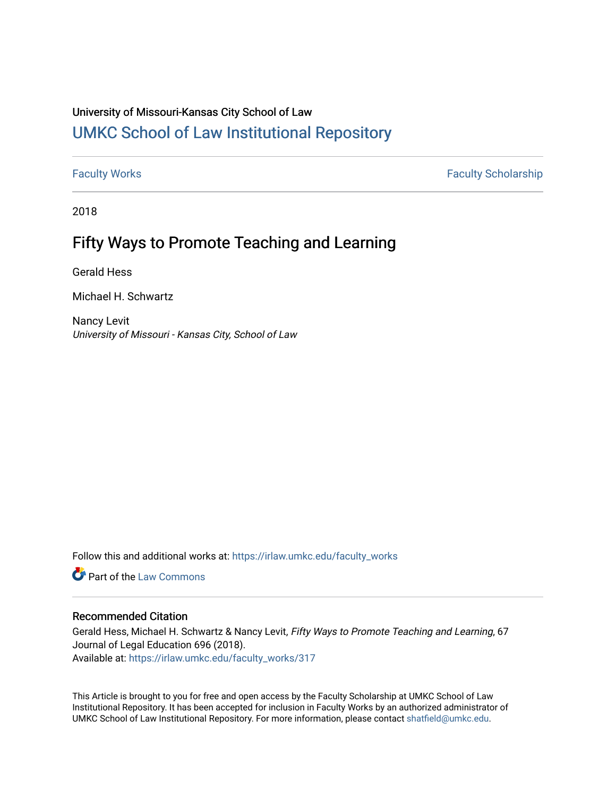# University of Missouri-Kansas City School of Law [UMKC School of Law Institutional Repository](https://irlaw.umkc.edu/)

[Faculty Works](https://irlaw.umkc.edu/faculty_works) **Faculty Scholarship** 

2018

# Fifty Ways to Promote Teaching and Learning

Gerald Hess

Michael H. Schwartz

Nancy Levit University of Missouri - Kansas City, School of Law

Follow this and additional works at: [https://irlaw.umkc.edu/faculty\\_works](https://irlaw.umkc.edu/faculty_works?utm_source=irlaw.umkc.edu%2Ffaculty_works%2F317&utm_medium=PDF&utm_campaign=PDFCoverPages) 

**C** Part of the [Law Commons](http://network.bepress.com/hgg/discipline/578?utm_source=irlaw.umkc.edu%2Ffaculty_works%2F317&utm_medium=PDF&utm_campaign=PDFCoverPages)

# Recommended Citation

Gerald Hess, Michael H. Schwartz & Nancy Levit, Fifty Ways to Promote Teaching and Learning, 67 Journal of Legal Education 696 (2018). Available at: [https://irlaw.umkc.edu/faculty\\_works/317](https://irlaw.umkc.edu/faculty_works/317?utm_source=irlaw.umkc.edu%2Ffaculty_works%2F317&utm_medium=PDF&utm_campaign=PDFCoverPages) 

This Article is brought to you for free and open access by the Faculty Scholarship at UMKC School of Law Institutional Repository. It has been accepted for inclusion in Faculty Works by an authorized administrator of UMKC School of Law Institutional Repository. For more information, please contact [shatfield@umkc.edu](mailto:shatfield@umkc.edu).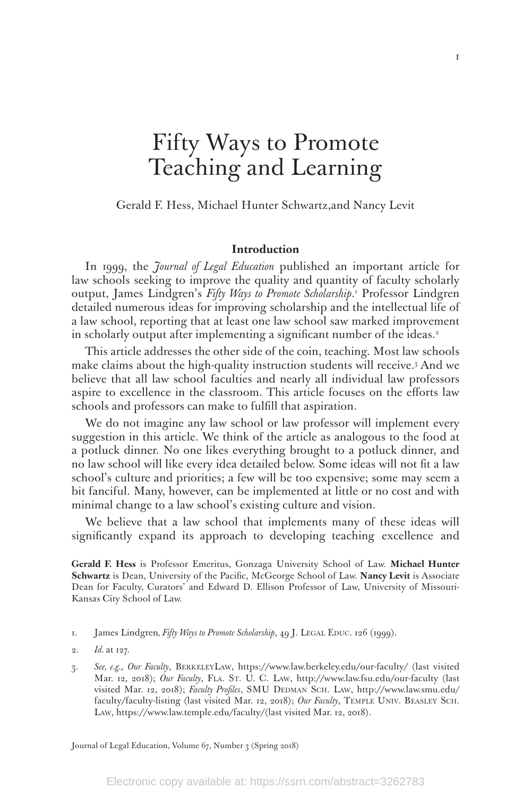# Fifty Ways to Promote Teaching and Learning

Gerald F. Hess, Michael Hunter Schwartz,and Nancy Levit

#### **Introduction**

In 1999, the *Journal of Legal Education* published an important article for law schools seeking to improve the quality and quantity of faculty scholarly output, James Lindgren's Fifty Ways to Promote Scholarship.<sup>1</sup> Professor Lindgren detailed numerous ideas for improving scholarship and the intellectual life of a law school, reporting that at least one law school saw marked improvement in scholarly output after implementing a significant number of the ideas.<sup>2</sup>

This article addresses the other side of the coin, teaching. Most law schools make claims about the high-quality instruction students will receive.3 And we believe that all law school faculties and nearly all individual law professors aspire to excellence in the classroom. This article focuses on the efforts law schools and professors can make to fulfill that aspiration.

We do not imagine any law school or law professor will implement every suggestion in this article. We think of the article as analogous to the food at a potluck dinner. No one likes everything brought to a potluck dinner, and no law school will like every idea detailed below. Some ideas will not fit a law school's culture and priorities; a few will be too expensive; some may seem a bit fanciful. Many, however, can be implemented at little or no cost and with minimal change to a law school's existing culture and vision.

We believe that a law school that implements many of these ideas will significantly expand its approach to developing teaching excellence and

**Gerald F. Hess** is Professor Emeritus, Gonzaga University School of Law. **Michael Hunter Schwartz** is Dean, University of the Pacific, McGeorge School of Law. **Nancy Levit** is Associate Dean for Faculty, Curators' and Edward D. Ellison Professor of Law, University of Missouri-Kansas City School of Law.

- 1. James Lindgren, Fifty Ways to Promote Scholarship, 49 J. LEGAL EDUC. 126 (1999).
- 2. *Id.* at 127.
- 3. *See, e.g.*, *Our Faculty*, BerkeleyLaw, https://www.law.berkeley.edu/our-faculty/ (last visited Mar. 12, 2018); Our Faculty, FLA. ST. U. C. LAW, http://www.law.fsu.edu/our-faculty (last visited Mar. 12, 2018); *Faculty Profiles*, SMU DEDMAN SCH. LAW, http://www.law.smu.edu/ faculty/faculty-listing (last visited Mar. 12, 2018); *Our Faculty*, Temple Univ. Beasley Sch. Law, https://www.law.temple.edu/faculty/(last visited Mar. 12, 2018).

Journal of Legal Education, Volume 67, Number 3 (Spring 2018)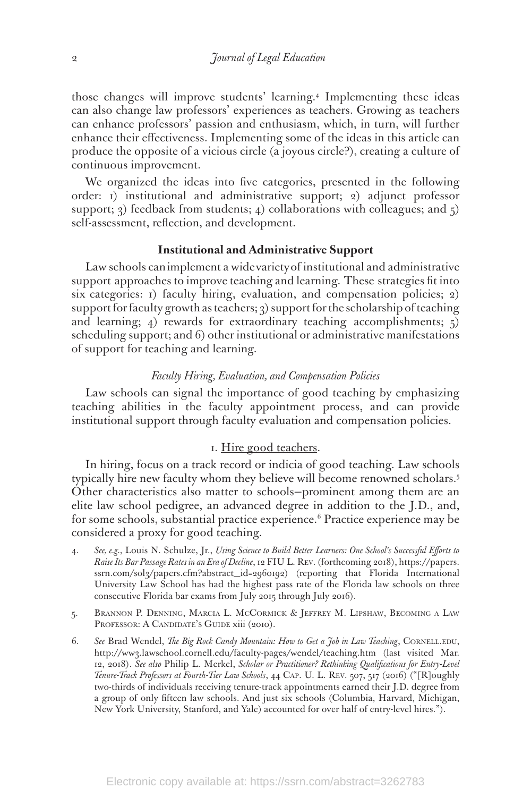those changes will improve students' learning.4 Implementing these ideas can also change law professors' experiences as teachers. Growing as teachers can enhance professors' passion and enthusiasm, which, in turn, will further enhance their effectiveness. Implementing some of the ideas in this article can produce the opposite of a vicious circle (a joyous circle?), creating a culture of continuous improvement.

We organized the ideas into five categories, presented in the following order: 1) institutional and administrative support; 2) adjunct professor support; 3) feedback from students; 4) collaborations with colleagues; and  $\zeta$ self-assessment, reflection, and development.

#### **Institutional and Administrative Support**

Law schools can implement a wide variety of institutional and administrative support approaches to improve teaching and learning. These strategies fit into six categories: 1) faculty hiring, evaluation, and compensation policies; 2) support for faculty growth as teachers; 3) support for the scholarship of teaching and learning; 4) rewards for extraordinary teaching accomplishments;  $\zeta$ scheduling support; and 6) other institutional or administrative manifestations of support for teaching and learning.

#### *Faculty Hiring, Evaluation, and Compensation Policies*

Law schools can signal the importance of good teaching by emphasizing teaching abilities in the faculty appointment process, and can provide institutional support through faculty evaluation and compensation policies.

#### 1. Hire good teachers.

In hiring, focus on a track record or indicia of good teaching. Law schools typically hire new faculty whom they believe will become renowned scholars.5 Other characteristics also matter to schools—prominent among them are an elite law school pedigree, an advanced degree in addition to the J.D., and, for some schools, substantial practice experience.<sup>6</sup> Practice experience may be considered a proxy for good teaching.

- 4. *See, e.g.*, Louis N. Schulze, Jr., *Using Science to Build Better Learners: One School's Successful Efforts to Raise Its Bar Passage Rates in an Era of Decline*, 12 FIU L. Rev. (forthcoming 2018), https://papers. ssrn.com/sol3/papers.cfm?abstract\_id=2960192) (reporting that Florida International University Law School has had the highest pass rate of the Florida law schools on three consecutive Florida bar exams from July 2015 through July 2016).
- 5. Brannon P. Denning, Marcia L. McCormick & Jeffrey M. Lipshaw, Becoming a Law PROFESSOR: A CANDIDATE's GUIDE xiii (2010).
- 6. *See* Brad Wendel, *The Big Rock Candy Mountain: How to Get a Job in Law Teaching*, Cornell.edu, http://ww3.lawschool.cornell.edu/faculty-pages/wendel/teaching.htm (last visited Mar. 12, 2018). *See also* Philip L. Merkel, *Scholar or Practitioner? Rethinking Qualifications for Entry-Level Tenure-Track Professors at Fourth-Tier Law Schools*, 44 Cap. U. L. Rev. 507, 517 (2016) ("[R]oughly two-thirds of individuals receiving tenure-track appointments earned their J.D. degree from a group of only fifteen law schools. And just six schools (Columbia, Harvard, Michigan, New York University, Stanford, and Yale) accounted for over half of entry-level hires.").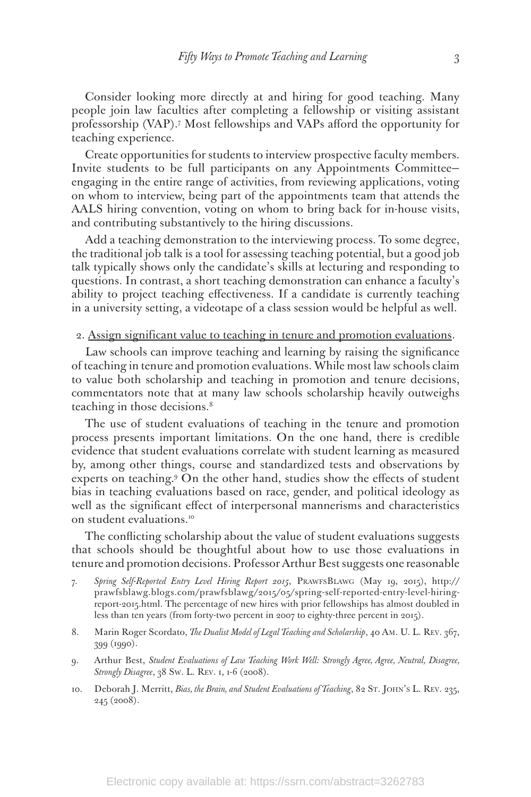Consider looking more directly at and hiring for good teaching. Many people join law faculties after completing a fellowship or visiting assistant professorship (VAP).7 Most fellowships and VAPs afford the opportunity for teaching experience.

Create opportunities for students to interview prospective faculty members. Invite students to be full participants on any Appointments Committee engaging in the entire range of activities, from reviewing applications, voting on whom to interview, being part of the appointments team that attends the AALS hiring convention, voting on whom to bring back for in-house visits, and contributing substantively to the hiring discussions.

Add a teaching demonstration to the interviewing process. To some degree, the traditional job talk is a tool for assessing teaching potential, but a good job talk typically shows only the candidate's skills at lecturing and responding to questions. In contrast, a short teaching demonstration can enhance a faculty's ability to project teaching effectiveness. If a candidate is currently teaching in a university setting, a videotape of a class session would be helpful as well.

#### 2. Assign significant value to teaching in tenure and promotion evaluations.

Law schools can improve teaching and learning by raising the significance of teaching in tenure and promotion evaluations. While most law schools claim to value both scholarship and teaching in promotion and tenure decisions, commentators note that at many law schools scholarship heavily outweighs teaching in those decisions.<sup>8</sup>

The use of student evaluations of teaching in the tenure and promotion process presents important limitations. On the one hand, there is credible evidence that student evaluations correlate with student learning as measured by, among other things, course and standardized tests and observations by experts on teaching.9 On the other hand, studies show the effects of student bias in teaching evaluations based on race, gender, and political ideology as well as the significant effect of interpersonal mannerisms and characteristics on student evaluations.<sup>10</sup>

The conflicting scholarship about the value of student evaluations suggests that schools should be thoughtful about how to use those evaluations in tenure and promotion decisions. Professor Arthur Best suggests one reasonable

- 7. *Spring Self-Reported Entry Level Hiring Report 2015*, PrawfsBlawg (May 19, 2015), http:// prawfsblawg.blogs.com/prawfsblawg/2015/05/spring-self-reported-entry-level-hiringreport-2015.html. The percentage of new hires with prior fellowships has almost doubled in less than ten years (from forty-two percent in 2007 to eighty-three percent in 2015).
- 8. Marin Roger Scordato, *The Dualist Model of Legal Teaching and Scholarship*, 40 Am. U. L. Rev. 367, 399 (1990).
- 9. Arthur Best, *Student Evaluations of Law Teaching Work Well: Strongly Agree, Agree, Neutral, Disagree, Strongly Disagree*, 38 Sw. L. Rev. 1, 1-6 (2008).
- 10. Deborah J. Merritt, *Bias, the Brain, and Student Evaluations of Teaching*, 82 St. John's L. Rev. 235, 245 (2008).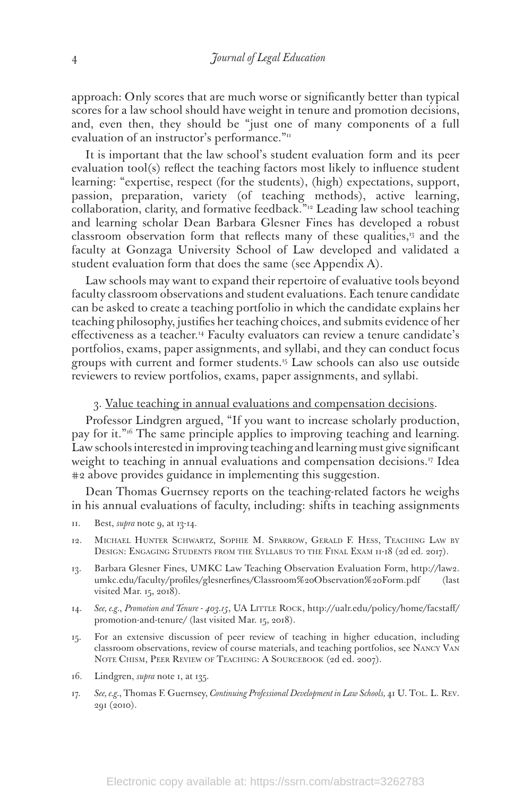approach: Only scores that are much worse or significantly better than typical scores for a law school should have weight in tenure and promotion decisions, and, even then, they should be "just one of many components of a full evaluation of an instructor's performance."<sup>11</sup>

It is important that the law school's student evaluation form and its peer evaluation tool(s) reflect the teaching factors most likely to influence student learning: "expertise, respect (for the students), (high) expectations, support, passion, preparation, variety (of teaching methods), active learning, collaboration, clarity, and formative feedback."12 Leading law school teaching and learning scholar Dean Barbara Glesner Fines has developed a robust classroom observation form that reflects many of these qualities,13 and the faculty at Gonzaga University School of Law developed and validated a student evaluation form that does the same (see Appendix A).

Law schools may want to expand their repertoire of evaluative tools beyond faculty classroom observations and student evaluations. Each tenure candidate can be asked to create a teaching portfolio in which the candidate explains her teaching philosophy, justifies her teaching choices, and submits evidence of her effectiveness as a teacher.<sup>14</sup> Faculty evaluators can review a tenure candidate's portfolios, exams, paper assignments, and syllabi, and they can conduct focus groups with current and former students.15 Law schools can also use outside reviewers to review portfolios, exams, paper assignments, and syllabi.

3. Value teaching in annual evaluations and compensation decisions.

Professor Lindgren argued, "If you want to increase scholarly production, pay for it."16 The same principle applies to improving teaching and learning. Law schools interested in improving teaching and learning must give significant weight to teaching in annual evaluations and compensation decisions.<sup>17</sup> Idea #2 above provides guidance in implementing this suggestion.

Dean Thomas Guernsey reports on the teaching-related factors he weighs in his annual evaluations of faculty, including: shifts in teaching assignments

- 11. Best, *supra* note 9, at 13-14.
- 12. Michael Hunter Schwartz, Sophie M. Sparrow, Gerald F. Hess, Teaching Law by DESIGN: ENGAGING STUDENTS FROM THE SYLLABUS TO THE FINAL EXAM II-18 (2d ed. 2017).
- 13. Barbara Glesner Fines, UMKC Law Teaching Observation Evaluation Form, http://law2. umkc.edu/faculty/profiles/glesnerfines/Classroom%20Observation%20Form.pdf (last visited Mar. 15, 2018).
- 14. See, e.g., Promotion and Tenure 403.15, UA LITTLE ROCK, http://ualr.edu/policy/home/facstaff/ promotion-and-tenure/ (last visited Mar. 15, 2018).
- 15. For an extensive discussion of peer review of teaching in higher education, including classroom observations, review of course materials, and teaching portfolios, see Nancy Van Note Chism, Peer Review of Teaching: A Sourcebook (2d ed. 2007).
- 16. Lindgren, *supra* note 1, at 135.
- 17. *See, e.g.*, Thomas F. Guernsey, *Continuing Professional Development in Law Schools,* 41 U. Tol. L. Rev. 291 (2010).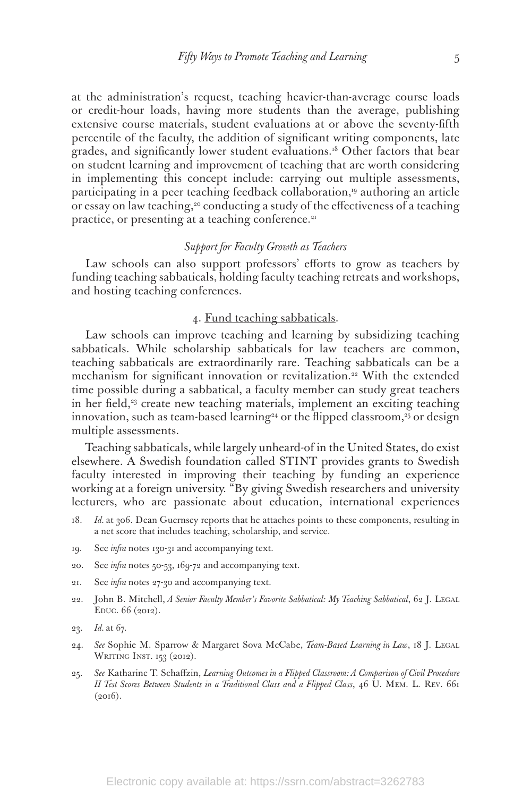at the administration's request, teaching heavier-than-average course loads or credit-hour loads, having more students than the average, publishing extensive course materials, student evaluations at or above the seventy-fifth percentile of the faculty, the addition of significant writing components, late grades, and significantly lower student evaluations.18 Other factors that bear on student learning and improvement of teaching that are worth considering in implementing this concept include: carrying out multiple assessments, participating in a peer teaching feedback collaboration,<sup>19</sup> authoring an article or essay on law teaching,<sup>20</sup> conducting a study of the effectiveness of a teaching practice, or presenting at a teaching conference.<sup>21</sup>

#### *Support for Faculty Growth as Teachers*

Law schools can also support professors' efforts to grow as teachers by funding teaching sabbaticals, holding faculty teaching retreats and workshops, and hosting teaching conferences.

#### 4. Fund teaching sabbaticals.

Law schools can improve teaching and learning by subsidizing teaching sabbaticals. While scholarship sabbaticals for law teachers are common, teaching sabbaticals are extraordinarily rare. Teaching sabbaticals can be a mechanism for significant innovation or revitalization.<sup>22</sup> With the extended time possible during a sabbatical, a faculty member can study great teachers in her field,<sup>23</sup> create new teaching materials, implement an exciting teaching innovation, such as team-based learning<sup>24</sup> or the flipped classroom,<sup>25</sup> or design multiple assessments.

Teaching sabbaticals, while largely unheard-of in the United States, do exist elsewhere. A Swedish foundation called STINT provides grants to Swedish faculty interested in improving their teaching by funding an experience working at a foreign university. "By giving Swedish researchers and university lecturers, who are passionate about education, international experiences

- 18. *Id.* at 306. Dean Guernsey reports that he attaches points to these components, resulting in a net score that includes teaching, scholarship, and service.
- 19. See *infra* notes 130-31 and accompanying text.
- 20. See *infra* notes 50-53, 169-72 and accompanying text.
- 21. See *infra* notes 27-30 and accompanying text.
- 22. John B. Mitchell, *A Senior Faculty Member's Favorite Sabbatical: My Teaching Sabbatical*, 62 J. LEGAL Educ. 66 (2012).
- 23. *Id.* at 67.
- 24. *See* Sophie M. Sparrow & Margaret Sova McCabe, *Team-Based Learning in Law*, 18 J. Legal WRITING INST. 153 (2012).
- 25. *See* Katharine T. Schaffzin, *Learning Outcomes in a Flipped Classroom: A Comparison of Civil Procedure II Test Scores Between Students in a Traditional Class and a Flipped Class*, 46 U. Mem. L. Rev. 661  $(2016).$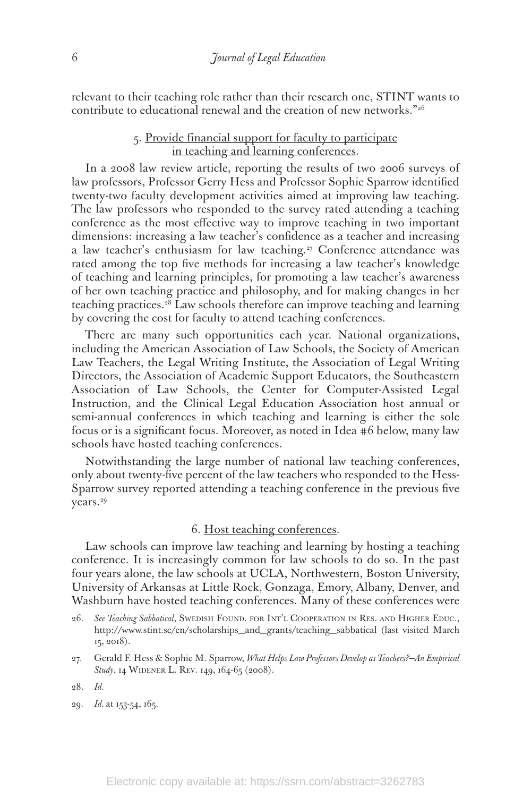relevant to their teaching role rather than their research one, STINT wants to contribute to educational renewal and the creation of new networks."26

# 5. Provide financial support for faculty to participate in teaching and learning conferences.

In a 2008 law review article, reporting the results of two 2006 surveys of law professors, Professor Gerry Hess and Professor Sophie Sparrow identified twenty-two faculty development activities aimed at improving law teaching. The law professors who responded to the survey rated attending a teaching conference as the most effective way to improve teaching in two important dimensions: increasing a law teacher's confidence as a teacher and increasing a law teacher's enthusiasm for law teaching.<sup>27</sup> Conference attendance was rated among the top five methods for increasing a law teacher's knowledge of teaching and learning principles, for promoting a law teacher's awareness of her own teaching practice and philosophy, and for making changes in her teaching practices.28 Law schools therefore can improve teaching and learning by covering the cost for faculty to attend teaching conferences.

There are many such opportunities each year. National organizations, including the American Association of Law Schools, the Society of American Law Teachers, the Legal Writing Institute, the Association of Legal Writing Directors, the Association of Academic Support Educators, the Southeastern Association of Law Schools, the Center for Computer-Assisted Legal Instruction, and the Clinical Legal Education Association host annual or semi-annual conferences in which teaching and learning is either the sole focus or is a significant focus. Moreover, as noted in Idea #6 below, many law schools have hosted teaching conferences.

Notwithstanding the large number of national law teaching conferences, only about twenty-five percent of the law teachers who responded to the Hess-Sparrow survey reported attending a teaching conference in the previous five years.<sup>29</sup>

#### 6. Host teaching conferences.

Law schools can improve law teaching and learning by hosting a teaching conference. It is increasingly common for law schools to do so. In the past four years alone, the law schools at UCLA, Northwestern, Boston University, University of Arkansas at Little Rock, Gonzaga, Emory, Albany, Denver, and Washburn have hosted teaching conferences. Many of these conferences were

29. *Id.* at 153-54, 165.

<sup>26.</sup> See Teaching Sabbatical, SWEDISH FOUND. FOR INT'L COOPERATION IN RES. AND HIGHER EDUC., http://www.stint.se/en/scholarships\_and\_grants/teaching\_sabbatical (last visited March 15, 2018).

<sup>27.</sup> Gerald F. Hess & Sophie M. Sparrow, *What Helps Law Professors Develop as Teachers?—An Empirical*  Study, 14 WIDENER L. REV. 149, 164-65 (2008).

<sup>28.</sup> *Id.*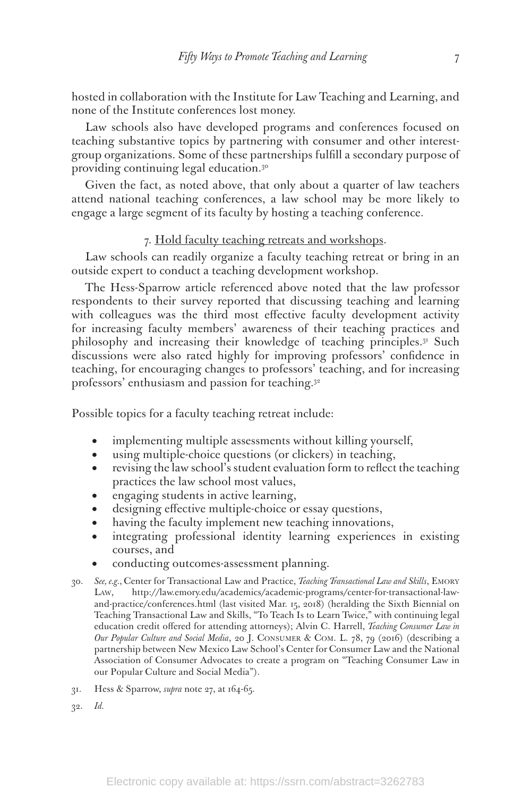hosted in collaboration with the Institute for Law Teaching and Learning, and none of the Institute conferences lost money.

Law schools also have developed programs and conferences focused on teaching substantive topics by partnering with consumer and other interestgroup organizations. Some of these partnerships fulfill a secondary purpose of providing continuing legal education.30

Given the fact, as noted above, that only about a quarter of law teachers attend national teaching conferences, a law school may be more likely to engage a large segment of its faculty by hosting a teaching conference.

#### 7. Hold faculty teaching retreats and workshops.

Law schools can readily organize a faculty teaching retreat or bring in an outside expert to conduct a teaching development workshop.

The Hess-Sparrow article referenced above noted that the law professor respondents to their survey reported that discussing teaching and learning with colleagues was the third most effective faculty development activity for increasing faculty members' awareness of their teaching practices and philosophy and increasing their knowledge of teaching principles.31 Such discussions were also rated highly for improving professors' confidence in teaching, for encouraging changes to professors' teaching, and for increasing professors' enthusiasm and passion for teaching.32

Possible topics for a faculty teaching retreat include:

- implementing multiple assessments without killing yourself,
- using multiple-choice questions (or clickers) in teaching,
- revising the law school's student evaluation form to reflect the teaching practices the law school most values,
- engaging students in active learning,
- designing effective multiple-choice or essay questions,
- • having the faculty implement new teaching innovations,
- integrating professional identity learning experiences in existing courses, and
- conducting outcomes-assessment planning.
- 30. *See, e.g.*, Center for Transactional Law and Practice, *Teaching Transactional Law and Skills*, Emory Law, http://law.emory.edu/academics/academic-programs/center-for-transactional-lawand-practice/conferences.html (last visited Mar. 15, 2018) (heralding the Sixth Biennial on Teaching Transactional Law and Skills, "To Teach Is to Learn Twice," with continuing legal education credit offered for attending attorneys); Alvin C. Harrell, *Teaching Consumer Law in Our Popular Culture and Social Media*, 20 J. Consumer & Com. L. 78, 79 (2016) (describing a partnership between New Mexico Law School's Center for Consumer Law and the National Association of Consumer Advocates to create a program on "Teaching Consumer Law in our Popular Culture and Social Media").
- 31. Hess & Sparrow, *supra* note 27, at 164-65.
- 32. *Id.*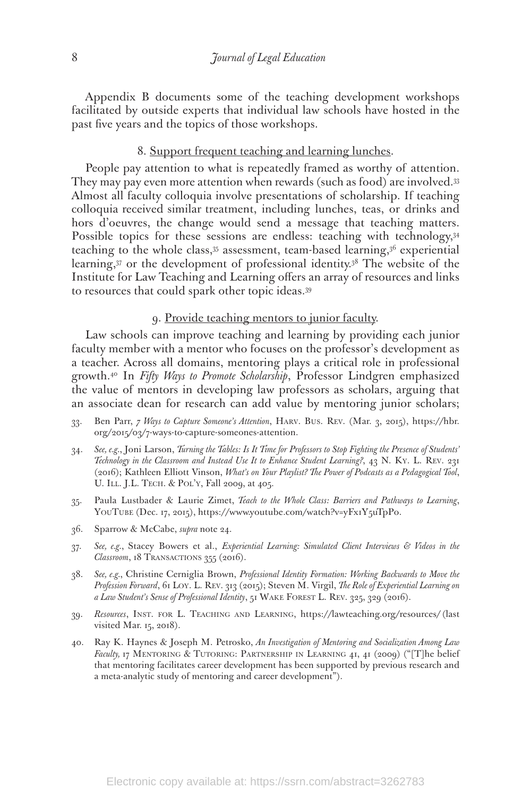Appendix B documents some of the teaching development workshops facilitated by outside experts that individual law schools have hosted in the past five years and the topics of those workshops.

#### 8. Support frequent teaching and learning lunches.

People pay attention to what is repeatedly framed as worthy of attention. They may pay even more attention when rewards (such as food) are involved.33 Almost all faculty colloquia involve presentations of scholarship. If teaching colloquia received similar treatment, including lunches, teas, or drinks and hors d'oeuvres, the change would send a message that teaching matters. Possible topics for these sessions are endless: teaching with technology, 34 teaching to the whole class,  $35$  assessment, team-based learning,  $36$  experiential learning,37 or the development of professional identity.38 The website of the Institute for Law Teaching and Learning offers an array of resources and links to resources that could spark other topic ideas.39

#### 9. Provide teaching mentors to junior faculty.

Law schools can improve teaching and learning by providing each junior faculty member with a mentor who focuses on the professor's development as a teacher. Across all domains, mentoring plays a critical role in professional growth.40 In *Fifty Ways to Promote Scholarship*, Professor Lindgren emphasized the value of mentors in developing law professors as scholars, arguing that an associate dean for research can add value by mentoring junior scholars;

- 33. Ben Parr, *7 Ways to Capture Someone's Attention*, Harv. Bus. Rev. (Mar. 3, 2015), https://hbr. org/2015/03/7-ways-to-capture-someones-attention.
- 34. *See, e.g.*, Joni Larson, *Turning the Tables: Is It Time for Professors to Stop Fighting the Presence of Students' Technology in the Classroom and Instead Use It to Enhance Student Learning?*, 43 N. Ky. L. Rev. 231 (2016); Kathleen Elliott Vinson, *What's on Your Playlist? The Power of Podcasts as a Pedagogical Tool*, U. ILL. J.L. TECH. & POL'Y, Fall 2009, at 405.
- 35. Paula Lustbader & Laurie Zimet, *Teach to the Whole Class: Barriers and Pathways to Learning*, YOUTUBE (Dec. 17, 2015), https://www.youtube.com/watch?v=yFx1Y5uTpPo.
- 36. Sparrow & McCabe, *supra* note 24.
- 37. *See, e.g.*, Stacey Bowers et al., *Experiential Learning: Simulated Client Interviews & Videos in the Classroom*, 18 TRANSACTIONS 355 (2016).
- 38. *See, e.g.*, Christine Cerniglia Brown, *Professional Identity Formation: Working Backwards to Move the Profession Forward*, 61 Loy. L. Rev. 313 (2015); Steven M. Virgil, *The Role of Experiential Learning on a Law Student's Sense of Professional Identity*, 51 Wake Forest L. Rev. 325, 329 (2016).
- 39. *Resources*, Inst. for L. Teaching and Learning, https://lawteaching.org/resources/ (last visited Mar. 15, 2018).
- 40. Ray K. Haynes & Joseph M. Petrosko, *An Investigation of Mentoring and Socialization Among Law Faculty, 17 MENTORING & TUTORING: PARTNERSHIP IN LEARNING 41, 41 (2009)* ("The belief that mentoring facilitates career development has been supported by previous research and a meta-analytic study of mentoring and career development").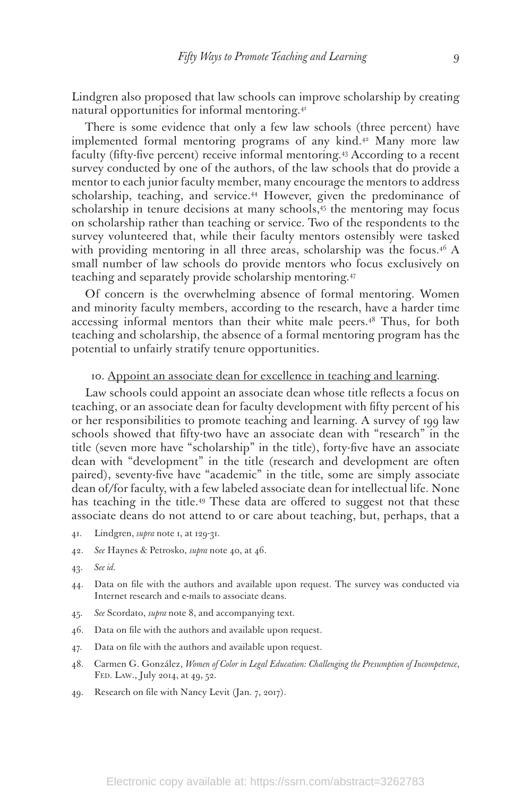Lindgren also proposed that law schools can improve scholarship by creating natural opportunities for informal mentoring.<sup>41</sup>

There is some evidence that only a few law schools (three percent) have implemented formal mentoring programs of any kind.<sup>42</sup> Many more law faculty (fifty-five percent) receive informal mentoring.<sup>43</sup> According to a recent survey conducted by one of the authors, of the law schools that do provide a mentor to each junior faculty member, many encourage the mentors to address scholarship, teaching, and service.<sup>44</sup> However, given the predominance of scholarship in tenure decisions at many schools,<sup>45</sup> the mentoring may focus on scholarship rather than teaching or service. Two of the respondents to the survey volunteered that, while their faculty mentors ostensibly were tasked with providing mentoring in all three areas, scholarship was the focus. $4^6$  A small number of law schools do provide mentors who focus exclusively on teaching and separately provide scholarship mentoring.47

Of concern is the overwhelming absence of formal mentoring. Women and minority faculty members, according to the research, have a harder time accessing informal mentors than their white male peers.<sup>48</sup> Thus, for both teaching and scholarship, the absence of a formal mentoring program has the potential to unfairly stratify tenure opportunities.

#### 10. Appoint an associate dean for excellence in teaching and learning.

Law schools could appoint an associate dean whose title reflects a focus on teaching, or an associate dean for faculty development with fifty percent of his or her responsibilities to promote teaching and learning. A survey of 199 law schools showed that fifty-two have an associate dean with "research" in the title (seven more have "scholarship" in the title), forty-five have an associate dean with "development" in the title (research and development are often paired), seventy-five have "academic" in the title, some are simply associate dean of/for faculty, with a few labeled associate dean for intellectual life. None has teaching in the title.49 These data are offered to suggest not that these associate deans do not attend to or care about teaching, but, perhaps, that a

- 41. Lindgren, *supra* note 1, at 129-31.
- 42. *See* Haynes & Petrosko, *supra* note 40, at 46.
- 43. *See id.*
- 44. Data on file with the authors and available upon request. The survey was conducted via Internet research and e-mails to associate deans.
- 45. *See* Scordato, *supra* note 8, and accompanying text.
- 46. Data on file with the authors and available upon request.
- 47. Data on file with the authors and available upon request.
- 48. Carmen G. González, *Women of Color in Legal Education: Challenging the Presumption of Incompetence*, Fed. Law., July 2014, at 49, 52.
- 49. Research on file with Nancy Levit (Jan. 7, 2017).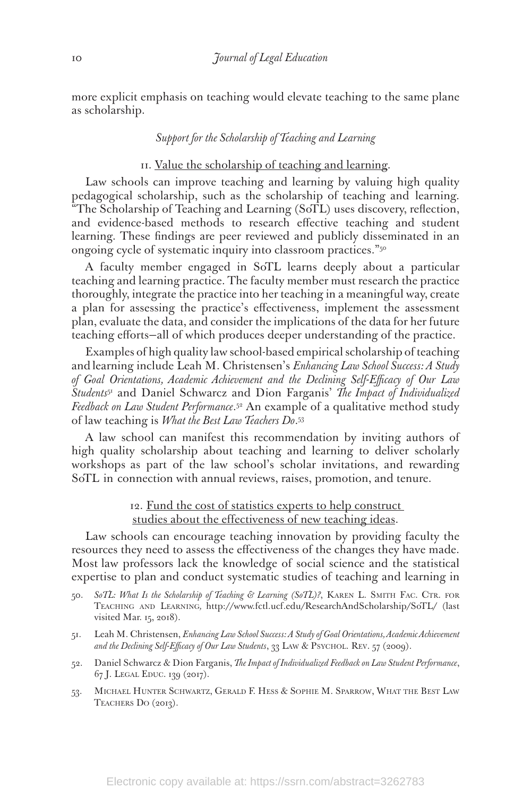more explicit emphasis on teaching would elevate teaching to the same plane as scholarship.

#### *Support for the Scholarship of Teaching and Learning*

#### II. Value the scholarship of teaching and learning.

Law schools can improve teaching and learning by valuing high quality pedagogical scholarship, such as the scholarship of teaching and learning. "The Scholarship of Teaching and Learning (SoTL) uses discovery, reflection, and evidence-based methods to research effective teaching and student learning. These findings are peer reviewed and publicly disseminated in an ongoing cycle of systematic inquiry into classroom practices."50

A faculty member engaged in SoTL learns deeply about a particular teaching and learning practice. The faculty member must research the practice thoroughly, integrate the practice into her teaching in a meaningful way, create a plan for assessing the practice's effectiveness, implement the assessment plan, evaluate the data, and consider the implications of the data for her future teaching efforts—all of which produces deeper understanding of the practice.

Examples of high quality law school-based empirical scholarship of teaching and learning include Leah M. Christensen's *Enhancing Law School Success: A Study of Goal Orientations, Academic Achievement and the Declining Self-Efficacy of Our Law Students*51 and Daniel Schwarcz and Dion Farganis' *The Impact of Individualized Feedback on Law Student Performance*. 52 An example of a qualitative method study of law teaching is *What the Best Law Teachers Do*. 53

A law school can manifest this recommendation by inviting authors of high quality scholarship about teaching and learning to deliver scholarly workshops as part of the law school's scholar invitations, and rewarding SoTL in connection with annual reviews, raises, promotion, and tenure.

> 12. Fund the cost of statistics experts to help construct studies about the effectiveness of new teaching ideas.

Law schools can encourage teaching innovation by providing faculty the resources they need to assess the effectiveness of the changes they have made. Most law professors lack the knowledge of social science and the statistical expertise to plan and conduct systematic studies of teaching and learning in

- 50. *SoTL: What Is the Scholarship of Teaching & Learning (SoTL)?*, KAREN L. SMITH FAC. CTR. FOR Teaching and Learning*,* http://www.fctl.ucf.edu/ResearchAndScholarship/SoTL/ (last visited Mar. 15, 2018).
- 51. Leah M. Christensen, *Enhancing Law School Success: A Study of Goal Orientations, Academic Achievement*  and the Declining Self-Efficacy of Our Law Students, 33 LAW & PSYCHOL. REV. 57 (2009).
- 52. Daniel Schwarcz & Dion Farganis, *The Impact of Individualized Feedback on Law Student Performance*, 67 J. Legal Educ. 139 (2017).
- 53. Michael Hunter Schwartz, Gerald F. Hess & Sophie M. Sparrow, What the Best Law TEACHERS DO (2013).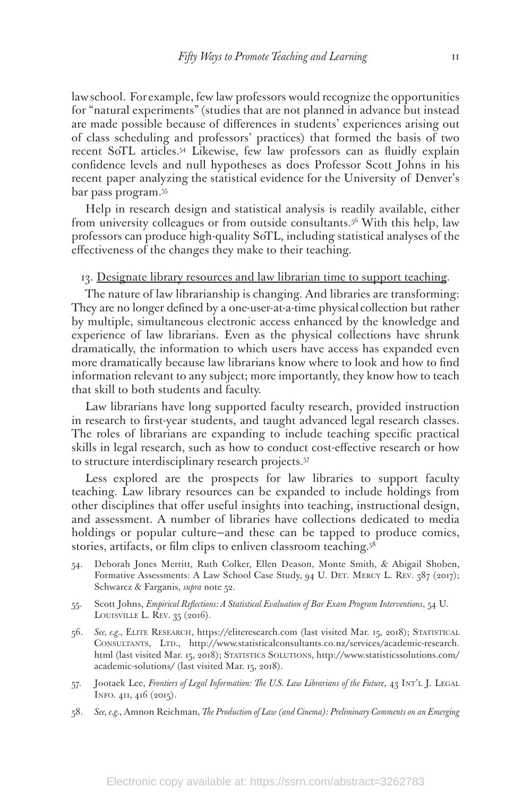law school. For example, few law professors would recognize the opportunities for "natural experiments" (studies that are not planned in advance but instead are made possible because of differences in students' experiences arising out of class scheduling and professors' practices) that formed the basis of two recent SoTL articles.54 Likewise, few law professors can as fluidly explain confidence levels and null hypotheses as does Professor Scott Johns in his recent paper analyzing the statistical evidence for the University of Denver's bar pass program.55

Help in research design and statistical analysis is readily available, either from university colleagues or from outside consultants.56 With this help, law professors can produce high-quality SoTL, including statistical analyses of the effectiveness of the changes they make to their teaching.

#### 13. Designate library resources and law librarian time to support teaching.

The nature of law librarianship is changing. And libraries are transforming: They are no longer defined by a one-user-at-a-time physical collection but rather by multiple, simultaneous electronic access enhanced by the knowledge and experience of law librarians. Even as the physical collections have shrunk dramatically, the information to which users have access has expanded even more dramatically because law librarians know where to look and how to find information relevant to any subject; more importantly, they know how to teach that skill to both students and faculty.

Law librarians have long supported faculty research, provided instruction in research to first-year students, and taught advanced legal research classes. The roles of librarians are expanding to include teaching specific practical skills in legal research, such as how to conduct cost-effective research or how to structure interdisciplinary research projects.57

Less explored are the prospects for law libraries to support faculty teaching. Law library resources can be expanded to include holdings from other disciplines that offer useful insights into teaching, instructional design, and assessment. A number of libraries have collections dedicated to media holdings or popular culture—and these can be tapped to produce comics, stories, artifacts, or film clips to enliven classroom teaching.<sup>58</sup>

- 54. Deborah Jones Merritt, Ruth Colker, Ellen Deason, Monte Smith, & Abigail Shoben, Formative Assessments: A Law School Case Study, 94 U. DET. MERCY L. REV. 387 (2017); Schwarcz & Farganis, *supra* note 52.
- 55. Scott Johns, *Empirical Reflections: A Statistical Evaluation of Bar Exam Program Interventions*, 54 U. LOUISVILLE L. REV. 35 (2016).
- 56. *See, e.g.*, Elite Research, https://eliteresearch.com (last visited Mar. 15, 2018); Statistical CONSULTANTS, LTD., http://www.statisticalconsultants.co.nz/services/academic-research. html (last visited Mar. 15, 2018); STATISTICS SOLUTIONS, http://www.statisticssolutions.com/ academic-solutions/ (last visited Mar. 15, 2018).
- 57. Jootaek Lee, *Frontiers of Legal Information: The U.S. Law Librarians of the Future*, 43 INT'L J. LEGAL Info. 411, 416 (2015).
- 58. *See, e.g.*, Amnon Reichman, *The Production of Law (and Cinema): Preliminary Comments on an Emerging*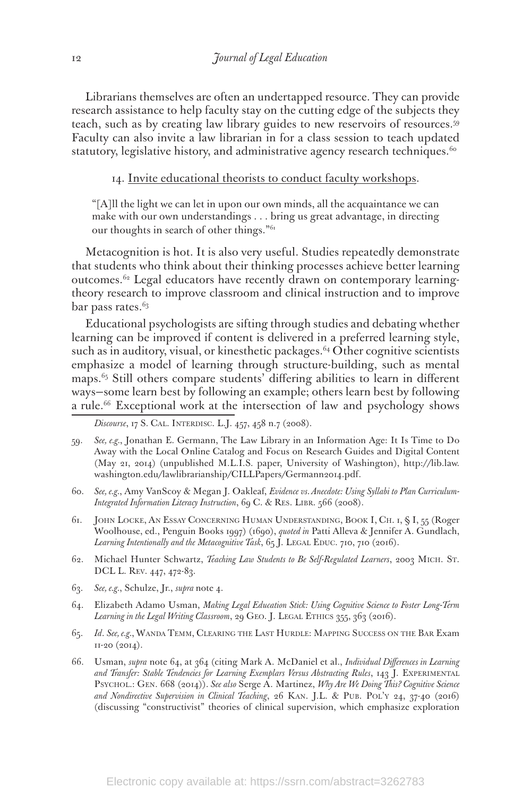Librarians themselves are often an undertapped resource. They can provide research assistance to help faculty stay on the cutting edge of the subjects they teach, such as by creating law library guides to new reservoirs of resources.59 Faculty can also invite a law librarian in for a class session to teach updated statutory, legislative history, and administrative agency research techniques.<sup>60</sup>

14. Invite educational theorists to conduct faculty workshops.

"[A]ll the light we can let in upon our own minds, all the acquaintance we can make with our own understandings . . . bring us great advantage, in directing our thoughts in search of other things."61

Metacognition is hot. It is also very useful. Studies repeatedly demonstrate that students who think about their thinking processes achieve better learning outcomes.62 Legal educators have recently drawn on contemporary learningtheory research to improve classroom and clinical instruction and to improve bar pass rates.<sup>63</sup>

Educational psychologists are sifting through studies and debating whether learning can be improved if content is delivered in a preferred learning style, such as in auditory, visual, or kinesthetic packages. $64$  Other cognitive scientists emphasize a model of learning through structure-building, such as mental maps.65 Still others compare students' differing abilities to learn in different ways—some learn best by following an example; others learn best by following a rule.<sup>66</sup> Exceptional work at the intersection of law and psychology shows

*Discourse*, 17 S. CAL. INTERDISC. L.J. 457, 458 n.7 (2008).

- 59. *See, e.g.*, Jonathan E. Germann, The Law Library in an Information Age: It Is Time to Do Away with the Local Online Catalog and Focus on Research Guides and Digital Content (May 21, 2014) (unpublished M.L.I.S. paper, University of Washington), http://lib.law. washington.edu/lawlibrarianship/CILLPapers/Germann2014.pdf.
- 60. *See, e.g.*, Amy VanScoy & Megan J. Oakleaf, *Evidence vs. Anecdote: Using Syllabi to Plan Curriculum-Integrated Information Literacy Instruction*, 69 C. & RES. LIBR. 566 (2008).
- 61. John Locke, An Essay Concerning Human Understanding, Book I, Ch. 1, § I, 55 (Roger Woolhouse, ed., Penguin Books 1997) (1690), *quoted in* Patti Alleva & Jennifer A. Gundlach, Learning Intentionally and the Metacognitive Task, 65 J. LEGAL EDUC. 710, 710 (2016).
- 62. Michael Hunter Schwartz, *Teaching Law Students to Be Self-Regulated Learners*, 2003 Mich. St. DCL L. Rev. 447, 472-83.
- 63. *See, e.g.*, Schulze, Jr., *supra* note 4.
- 64. Elizabeth Adamo Usman, *Making Legal Education Stick: Using Cognitive Science to Foster Long-Term*  Learning in the Legal Writing Classroom, 29 GEO. J. LEGAL ETHICS 355, 363 (2016).
- 65. *Id*. *See, e.g.*, Wanda Temm, Clearing the Last Hurdle: Mapping Success on the Bar Exam 11-20 (2014).
- 66. Usman, *supra* note 64, at 364 (citing Mark A. McDaniel et al., *Individual Differences in Learning*  and Transfer: Stable Tendencies for Learning Exemplars Versus Abstracting Rules, 143 J. EXPERIMENTAL Psychol.: Gen. 668 (2014)). *See also* Serge A. Martinez, *Why Are We Doing This? Cognitive Science and Nondirective Supervision in Clinical Teaching*, 26 Kan. J.L. & Pub. Pol'y 24, 37-40 (2016) (discussing "constructivist" theories of clinical supervision, which emphasize exploration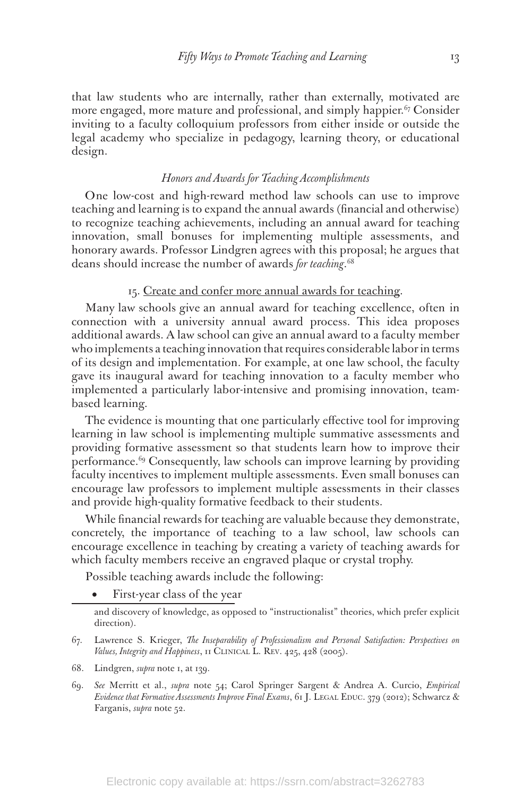that law students who are internally, rather than externally, motivated are more engaged, more mature and professional, and simply happier. $67$  Consider inviting to a faculty colloquium professors from either inside or outside the legal academy who specialize in pedagogy, learning theory, or educational design.

#### *Honors and Awards for Teaching Accomplishments*

One low-cost and high-reward method law schools can use to improve teaching and learning is to expand the annual awards (financial and otherwise) to recognize teaching achievements, including an annual award for teaching innovation, small bonuses for implementing multiple assessments, and honorary awards. Professor Lindgren agrees with this proposal; he argues that deans should increase the number of awards *for teaching*. 68

#### 15. Create and confer more annual awards for teaching.

Many law schools give an annual award for teaching excellence, often in connection with a university annual award process. This idea proposes additional awards. A law school can give an annual award to a faculty member who implements a teaching innovation that requires considerable labor in terms of its design and implementation. For example, at one law school, the faculty gave its inaugural award for teaching innovation to a faculty member who implemented a particularly labor-intensive and promising innovation, teambased learning.

The evidence is mounting that one particularly effective tool for improving learning in law school is implementing multiple summative assessments and providing formative assessment so that students learn how to improve their performance.69 Consequently, law schools can improve learning by providing faculty incentives to implement multiple assessments. Even small bonuses can encourage law professors to implement multiple assessments in their classes and provide high-quality formative feedback to their students.

While financial rewards for teaching are valuable because they demonstrate, concretely, the importance of teaching to a law school, law schools can encourage excellence in teaching by creating a variety of teaching awards for which faculty members receive an engraved plaque or crystal trophy.

Possible teaching awards include the following:

First-year class of the year

- 67. Lawrence S. Krieger, *The Inseparability of Professionalism and Personal Satisfaction: Perspectives on Values, Integrity and Happiness*, 11 Clinical L. Rev. 425, 428 (2005).
- 68. Lindgren, *supra* note 1, at 139.
- 69. *See* Merritt et al., *supra* note 54; Carol Springer Sargent & Andrea A. Curcio, *Empirical Evidence that Formative Assessments Improve Final Exams*, 61 J. LEGAL EDUC. 379 (2012); Schwarcz & Farganis, *supra* note 52.

and discovery of knowledge, as opposed to "instructionalist" theories, which prefer explicit direction).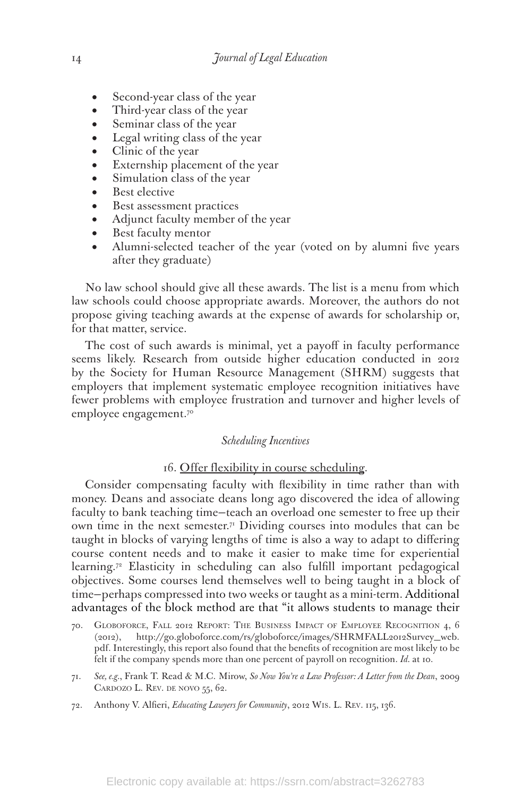- Second-year class of the year
- Third-year class of the year
- Seminar class of the year
- Legal writing class of the year
- Clinic of the year
- Externship placement of the year
- Simulation class of the year
- Best elective
- • Best assessment practices
- Adjunct faculty member of the year
- Best faculty mentor
- Alumni-selected teacher of the year (voted on by alumni five years after they graduate)

No law school should give all these awards. The list is a menu from which law schools could choose appropriate awards. Moreover, the authors do not propose giving teaching awards at the expense of awards for scholarship or, for that matter, service.

The cost of such awards is minimal, yet a payoff in faculty performance seems likely. Research from outside higher education conducted in 2012 by the Society for Human Resource Management (SHRM) suggests that employers that implement systematic employee recognition initiatives have fewer problems with employee frustration and turnover and higher levels of employee engagement.<sup>70</sup>

#### *Scheduling Incentives*

#### 16. Offer flexibility in course scheduling.

Consider compensating faculty with flexibility in time rather than with money. Deans and associate deans long ago discovered the idea of allowing faculty to bank teaching time—teach an overload one semester to free up their own time in the next semester.<sup>71</sup> Dividing courses into modules that can be taught in blocks of varying lengths of time is also a way to adapt to differing course content needs and to make it easier to make time for experiential learning.72 Elasticity in scheduling can also fulfill important pedagogical objectives. Some courses lend themselves well to being taught in a block of time—perhaps compressed into two weeks or taught as a mini-term. Additional advantages of the block method are that "it allows students to manage their

- 70. Globoforce, Fall 2012 Report: The Business Impact of Employee Recognition 4, 6 (2012), http://go.globoforce.com/rs/globoforce/images/SHRMFALL2012Survey\_web. pdf. Interestingly, this report also found that the benefits of recognition are most likely to be felt if the company spends more than one percent of payroll on recognition. *Id.* at 10.
- 71. *See, e.g.*, Frank T. Read & M.C. Mirow, *So Now You're a Law Professor: A Letter from the Dean*, 2009 CARDOZO L. REV. DE NOVO 55, 62.
- 72. Anthony V. Alfieri, *Educating Lawyers for Community*, 2012 Wis. L. Rev. 115, 136.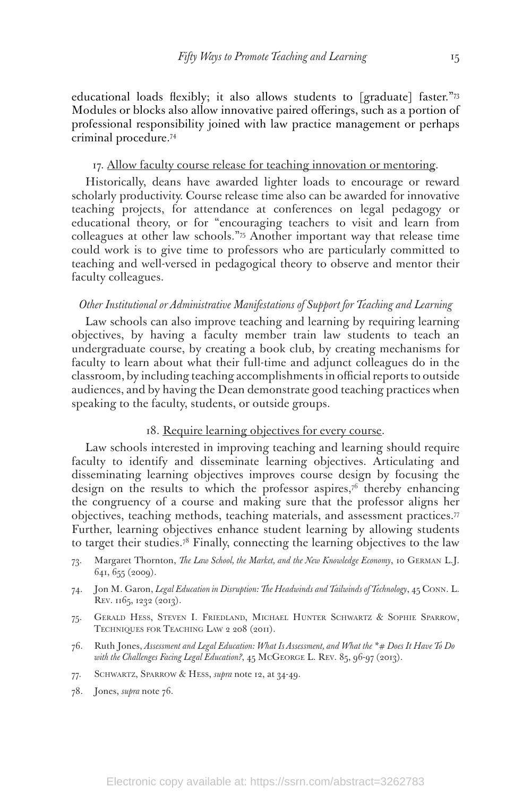educational loads flexibly; it also allows students to [graduate] faster."73 Modules or blocks also allow innovative paired offerings, such as a portion of professional responsibility joined with law practice management or perhaps criminal procedure.74

#### 17. Allow faculty course release for teaching innovation or mentoring.

Historically, deans have awarded lighter loads to encourage or reward scholarly productivity. Course release time also can be awarded for innovative teaching projects, for attendance at conferences on legal pedagogy or educational theory, or for "encouraging teachers to visit and learn from colleagues at other law schools."75 Another important way that release time could work is to give time to professors who are particularly committed to teaching and well-versed in pedagogical theory to observe and mentor their faculty colleagues.

#### *Other Institutional or Administrative Manifestations of Support for Teaching and Learning*

Law schools can also improve teaching and learning by requiring learning objectives, by having a faculty member train law students to teach an undergraduate course, by creating a book club, by creating mechanisms for faculty to learn about what their full-time and adjunct colleagues do in the classroom, by including teaching accomplishments in official reports to outside audiences, and by having the Dean demonstrate good teaching practices when speaking to the faculty, students, or outside groups.

#### 18. Require learning objectives for every course.

Law schools interested in improving teaching and learning should require faculty to identify and disseminate learning objectives. Articulating and disseminating learning objectives improves course design by focusing the design on the results to which the professor aspires, $7<sup>6</sup>$  thereby enhancing the congruency of a course and making sure that the professor aligns her objectives, teaching methods, teaching materials, and assessment practices.77 Further, learning objectives enhance student learning by allowing students to target their studies.78 Finally, connecting the learning objectives to the law

- 73. Margaret Thornton, *The Law School, the Market, and the New Knowledge Economy*, 10 German L.J. 641, 655 (2009).
- 74. Jon M. Garon, *Legal Education in Disruption: The Headwinds and Tailwinds of Technology*, 45 Conn. L. REV. 1165, 1232 (2013).
- 75. Gerald Hess, Steven I. Friedland, Michael Hunter Schwartz & Sophie Sparrow, TECHNIQUES FOR TEACHING LAW 2 208 (2011).
- 76. Ruth Jones, *Assessment and Legal Education: What Is Assessment, and What the \*# Does It Have To Do*  with the Challenges Facing Legal Education?, 45 McGEORGE L. REV. 85, 96-97 (2013).
- 77. Schwartz, Sparrow & Hess, *supra* note 12, at 34-49.
- 78. Jones, *supra* note 76.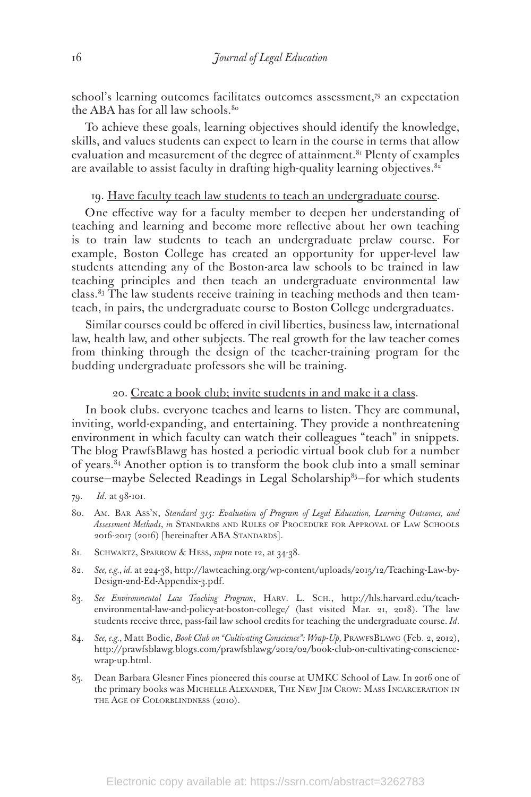school's learning outcomes facilitates outcomes assessment,79 an expectation the ABA has for all law schools.<sup>80</sup>

To achieve these goals, learning objectives should identify the knowledge, skills, and values students can expect to learn in the course in terms that allow evaluation and measurement of the degree of attainment.<sup>81</sup> Plenty of examples are available to assist faculty in drafting high-quality learning objectives. $82$ 

# 19. Have faculty teach law students to teach an undergraduate course.

One effective way for a faculty member to deepen her understanding of teaching and learning and become more reflective about her own teaching is to train law students to teach an undergraduate prelaw course. For example, Boston College has created an opportunity for upper-level law students attending any of the Boston-area law schools to be trained in law teaching principles and then teach an undergraduate environmental law class.83 The law students receive training in teaching methods and then teamteach, in pairs, the undergraduate course to Boston College undergraduates.

Similar courses could be offered in civil liberties, business law, international law, health law, and other subjects. The real growth for the law teacher comes from thinking through the design of the teacher-training program for the budding undergraduate professors she will be training.

#### 20. Create a book club; invite students in and make it a class.

In book clubs. everyone teaches and learns to listen. They are communal, inviting, world-expanding, and entertaining. They provide a nonthreatening environment in which faculty can watch their colleagues "teach" in snippets. The blog PrawfsBlawg has hosted a periodic virtual book club for a number of years.84 Another option is to transform the book club into a small seminar course–maybe Selected Readings in Legal Scholarship<sup>85</sup>–for which students

- 80. Am. Bar Ass'n, *Standard 315: Evaluation of Program of Legal Education, Learning Outcomes, and Assessment Methods*, *in* Standards and Rules of Procedure for Approval of Law Schools 2016-2017 (2016) [hereinafter ABA STANDARDS].
- 81. Schwartz, Sparrow & Hess, *supra* note 12, at 34-38.
- 82. *See, e.g.*, *id.* at 224-38, http://lawteaching.org/wp-content/uploads/2015/12/Teaching-Law-by-Design-2nd-Ed-Appendix-3.pdf.
- 83. See Environmental Law Teaching Program, HARV. L. SCH., http://hls.harvard.edu/teachenvironmental-law-and-policy-at-boston-college/ (last visited Mar. 21, 2018). The law students receive three, pass-fail law school credits for teaching the undergraduate course. *Id*.
- 84. See, e.g., Matt Bodie, *Book Club on "Cultivating Conscience": Wrap-Up*, PRAWFSBLAWG (Feb. 2, 2012), http://prawfsblawg.blogs.com/prawfsblawg/2012/02/book-club-on-cultivating-consciencewrap-up.html.
- 85. Dean Barbara Glesner Fines pioneered this course at UMKC School of Law. In 2016 one of the primary books was Michelle Alexander, The New Jim Crow: Mass Incarceration in THE AGE OF COLORBLINDNESS (2010).

<sup>79.</sup> *Id*. at 98-101.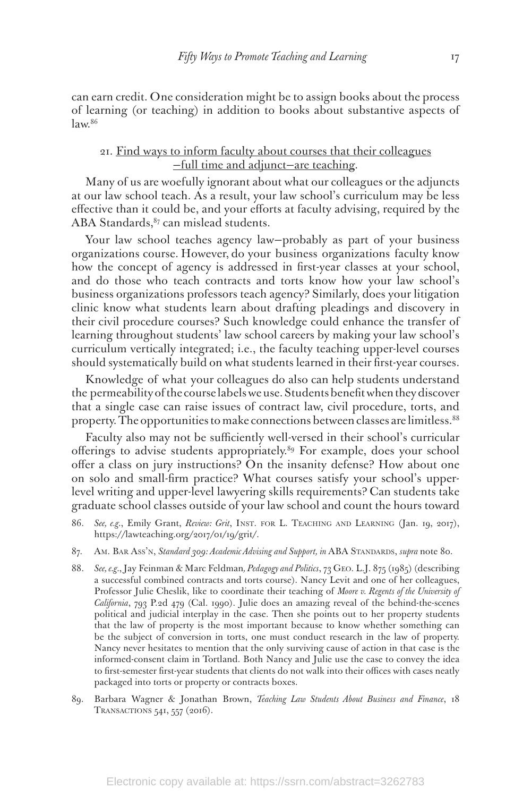can earn credit. One consideration might be to assign books about the process of learning (or teaching) in addition to books about substantive aspects of  $law<sup>86</sup>$ 

# 21. Find ways to inform faculty about courses that their colleagues —full time and adjunct—are teaching.

Many of us are woefully ignorant about what our colleagues or the adjuncts at our law school teach. As a result, your law school's curriculum may be less effective than it could be, and your efforts at faculty advising, required by the ABA Standards,  $87$  can mislead students.

Your law school teaches agency law—probably as part of your business organizations course. However, do your business organizations faculty know how the concept of agency is addressed in first-year classes at your school, and do those who teach contracts and torts know how your law school's business organizations professors teach agency? Similarly, does your litigation clinic know what students learn about drafting pleadings and discovery in their civil procedure courses? Such knowledge could enhance the transfer of learning throughout students' law school careers by making your law school's curriculum vertically integrated; i.e., the faculty teaching upper-level courses should systematically build on what students learned in their first-year courses.

Knowledge of what your colleagues do also can help students understand the permeability of the course labels we use. Students benefit when they discover that a single case can raise issues of contract law, civil procedure, torts, and property. The opportunities to make connections between classes are limitless.88

Faculty also may not be sufficiently well-versed in their school's curricular offerings to advise students appropriately.<sup>89</sup> For example, does your school offer a class on jury instructions? On the insanity defense? How about one on solo and small-firm practice? What courses satisfy your school's upperlevel writing and upper-level lawyering skills requirements? Can students take graduate school classes outside of your law school and count the hours toward

- 86. *See, e.g.*, Emily Grant, *Review: Grit*, Inst. for L. Teaching and Learning (Jan. 19, 2017), https://lawteaching.org/2017/01/19/grit/.
- 87. Am. Bar Ass'n, *Standard 309: Academic Advising and Support, in ABA STANDARDS, supra note 80.*
- 88. *See, e.g.*, Jay Feinman & Marc Feldman*, Pedagogy and Politics*, 73 Geo. L.J. 875 (1985) (describing a successful combined contracts and torts course). Nancy Levit and one of her colleagues, Professor Julie Cheslik, like to coordinate their teaching of *Moore v. Regents of the University of California*, 793 P.2d 479 (Cal. 1990). Julie does an amazing reveal of the behind-the-scenes political and judicial interplay in the case. Then she points out to her property students that the law of property is the most important because to know whether something can be the subject of conversion in torts, one must conduct research in the law of property. Nancy never hesitates to mention that the only surviving cause of action in that case is the informed-consent claim in Tortland. Both Nancy and Julie use the case to convey the idea to first-semester first-year students that clients do not walk into their offices with cases neatly packaged into torts or property or contracts boxes.
- 89. Barbara Wagner & Jonathan Brown, *Teaching Law Students About Business and Finance*, 18 Transactions 541, 557 (2016).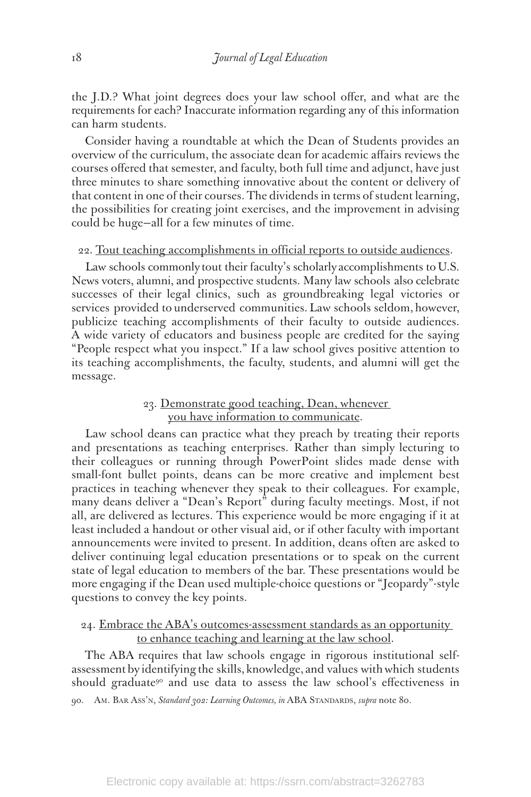the J.D.? What joint degrees does your law school offer, and what are the requirements for each? Inaccurate information regarding any of this information can harm students.

Consider having a roundtable at which the Dean of Students provides an overview of the curriculum, the associate dean for academic affairs reviews the courses offered that semester, and faculty, both full time and adjunct, have just three minutes to share something innovative about the content or delivery of that content in one of their courses. The dividends in terms of student learning, the possibilities for creating joint exercises, and the improvement in advising could be huge—all for a few minutes of time.

#### 22. Tout teaching accomplishments in official reports to outside audiences.

Law schools commonly tout their faculty's scholarly accomplishments to U.S. News voters, alumni, and prospective students. Many law schools also celebrate successes of their legal clinics, such as groundbreaking legal victories or services provided to underserved communities. Law schools seldom, however, publicize teaching accomplishments of their faculty to outside audiences. A wide variety of educators and business people are credited for the saying "People respect what you inspect." If a law school gives positive attention to its teaching accomplishments, the faculty, students, and alumni will get the message.

# 23. Demonstrate good teaching, Dean, whenever you have information to communicate.

Law school deans can practice what they preach by treating their reports and presentations as teaching enterprises. Rather than simply lecturing to their colleagues or running through PowerPoint slides made dense with small-font bullet points, deans can be more creative and implement best practices in teaching whenever they speak to their colleagues. For example, many deans deliver a "Dean's Report" during faculty meetings. Most, if not all, are delivered as lectures. This experience would be more engaging if it at least included a handout or other visual aid, or if other faculty with important announcements were invited to present. In addition, deans often are asked to deliver continuing legal education presentations or to speak on the current state of legal education to members of the bar. These presentations would be more engaging if the Dean used multiple-choice questions or "Jeopardy"-style questions to convey the key points.

# 24. Embrace the ABA's outcomes-assessment standards as an opportunity to enhance teaching and learning at the law school.

The ABA requires that law schools engage in rigorous institutional selfassessment by identifying the skills, knowledge, and values with which students should graduate<sup>90</sup> and use data to assess the law school's effectiveness in

<sup>90.</sup> AM. BAR Ass'N, *Standard 302: Learning Outcomes, in ABA STANDARDS, supra note 80.*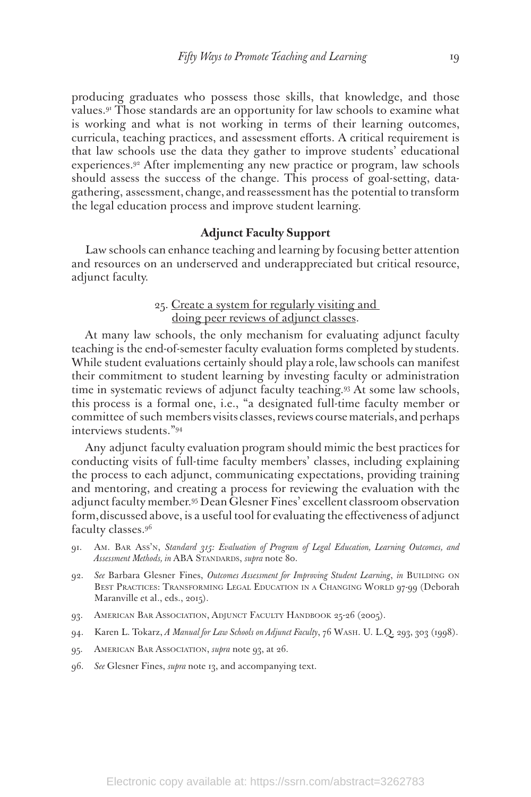producing graduates who possess those skills, that knowledge, and those values.91 Those standards are an opportunity for law schools to examine what is working and what is not working in terms of their learning outcomes, curricula, teaching practices, and assessment efforts. A critical requirement is that law schools use the data they gather to improve students' educational experiences.92 After implementing any new practice or program, law schools should assess the success of the change. This process of goal-setting, datagathering, assessment, change, and reassessment has the potential to transform the legal education process and improve student learning.

#### **Adjunct Faculty Support**

Law schools can enhance teaching and learning by focusing better attention and resources on an underserved and underappreciated but critical resource, adjunct faculty.

# 25. Create a system for regularly visiting and doing peer reviews of adjunct classes.

At many law schools, the only mechanism for evaluating adjunct faculty teaching is the end-of-semester faculty evaluation forms completed by students. While student evaluations certainly should play a role, law schools can manifest their commitment to student learning by investing faculty or administration time in systematic reviews of adjunct faculty teaching.93 At some law schools, this process is a formal one, i.e., "a designated full-time faculty member or committee of such members visits classes, reviews course materials, and perhaps interviews students."94

Any adjunct faculty evaluation program should mimic the best practices for conducting visits of full-time faculty members' classes, including explaining the process to each adjunct, communicating expectations, providing training and mentoring, and creating a process for reviewing the evaluation with the adjunct faculty member.95 Dean Glesner Fines' excellent classroom observation form, discussed above, is a useful tool for evaluating the effectiveness of adjunct faculty classes.96

- 91. Am. Bar Ass'n, *Standard 315: Evaluation of Program of Legal Education, Learning Outcomes, and Assessment Methods, in* ABA Standards, *supra* note 80.
- 92. See Barbara Glesner Fines, *Outcomes Assessment for Improving Student Learning*, *in BUILDING ON* Best Practices: Transforming Legal Education in a Changing World 97-99 (Deborah Maranville et al., eds., 2015).
- 93. AMERICAN BAR ASSOCIATION, ADJUNCT FACULTY HANDBOOK 25-26 (2005).
- 94. Karen L. Tokarz, *A Manual for Law Schools on Adjunct Faculty*, 76 Wash. U. L.Q. 293, 303 (1998).
- 95. AMERICAN BAR ASSOCIATION, *supra* note 93, at 26.
- 96. *See* Glesner Fines, *supra* note 13, and accompanying text.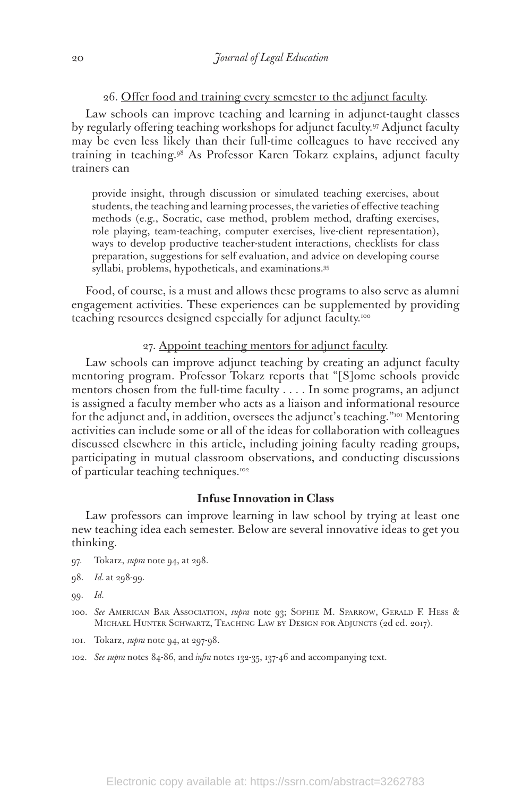26. Offer food and training every semester to the adjunct faculty.

Law schools can improve teaching and learning in adjunct-taught classes by regularly offering teaching workshops for adjunct faculty.97 Adjunct faculty may be even less likely than their full-time colleagues to have received any training in teaching.98 As Professor Karen Tokarz explains, adjunct faculty trainers can

provide insight, through discussion or simulated teaching exercises, about students, the teaching and learning processes, the varieties of effective teaching methods (e.g., Socratic, case method, problem method, drafting exercises, role playing, team-teaching, computer exercises, live-client representation), ways to develop productive teacher-student interactions, checklists for class preparation, suggestions for self evaluation, and advice on developing course syllabi, problems, hypotheticals, and examinations.99

Food, of course, is a must and allows these programs to also serve as alumni engagement activities. These experiences can be supplemented by providing teaching resources designed especially for adjunct faculty.100

#### 27. Appoint teaching mentors for adjunct faculty.

Law schools can improve adjunct teaching by creating an adjunct faculty mentoring program. Professor Tokarz reports that "[S]ome schools provide mentors chosen from the full-time faculty . . . . In some programs, an adjunct is assigned a faculty member who acts as a liaison and informational resource for the adjunct and, in addition, oversees the adjunct's teaching."101 Mentoring activities can include some or all of the ideas for collaboration with colleagues discussed elsewhere in this article, including joining faculty reading groups, participating in mutual classroom observations, and conducting discussions of particular teaching techniques.<sup>102</sup>

# **Infuse Innovation in Class**

Law professors can improve learning in law school by trying at least one new teaching idea each semester. Below are several innovative ideas to get you thinking.

- 97. Tokarz, *supra* note 94, at 298.
- 98. *Id.* at 298-99.
- 99. *Id.*
- 100. *See* American Bar Association, *supra* note 93; Sophie M. Sparrow, Gerald F. Hess & Michael Hunter Schwartz, Teaching Law by Design for Adjuncts (2d ed. 2017).
- 101. Tokarz, *supra* note 94, at 297-98.
- 102. *See supra* notes 84-86, and *infra* notes 132-35, 137-46 and accompanying text.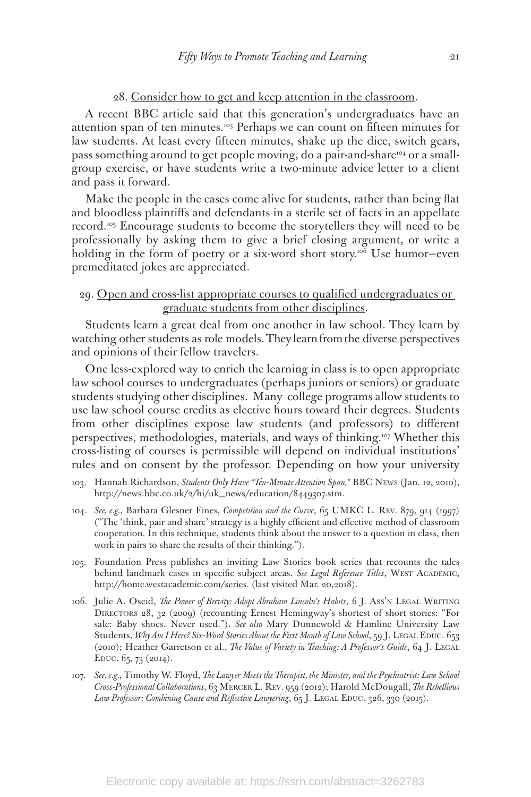#### 28. Consider how to get and keep attention in the classroom.

A recent BBC article said that this generation's undergraduates have an attention span of ten minutes.103 Perhaps we can count on fifteen minutes for law students. At least every fifteen minutes, shake up the dice, switch gears, pass something around to get people moving, do a pair-and-share<sup>104</sup> or a smallgroup exercise, or have students write a two-minute advice letter to a client and pass it forward.

Make the people in the cases come alive for students, rather than being flat and bloodless plaintiffs and defendants in a sterile set of facts in an appellate record.<sup>105</sup> Encourage students to become the storytellers they will need to be professionally by asking them to give a brief closing argument, or write a holding in the form of poetry or a six-word short story.<sup>106</sup> Use humor-even premeditated jokes are appreciated.

#### 29. Open and cross-list appropriate courses to qualified undergraduates or graduate students from other disciplines.

Students learn a great deal from one another in law school. They learn by watching other students as role models. They learn from the diverse perspectives and opinions of their fellow travelers.

One less-explored way to enrich the learning in class is to open appropriate law school courses to undergraduates (perhaps juniors or seniors) or graduate students studying other disciplines. Many college programs allow students to use law school course credits as elective hours toward their degrees. Students from other disciplines expose law students (and professors) to different perspectives, methodologies, materials, and ways of thinking.107 Whether this cross-listing of courses is permissible will depend on individual institutions' rules and on consent by the professor. Depending on how your university

- 103. Hannah Richardson, *Students Only Have "Ten-Minute Attention Span,"* BBC News (Jan. 12, 2010), http://news.bbc.co.uk/2/hi/uk\_news/education/8449307.stm.
- 104. *See, e.g.*, Barbara Glesner Fines, *Competition and the Curve*, 65 UMKC L. Rev. 879, 914 (1997) ("The 'think, pair and share' strategy is a highly efficient and effective method of classroom cooperation. In this technique, students think about the answer to a question in class, then work in pairs to share the results of their thinking.").
- 105. Foundation Press publishes an inviting Law Stories book series that recounts the tales behind landmark cases in specific subject areas. See Legal Reference Titles, WEST ACADEMIC, http://home.westacademic.com/series. (last visited Mar. 20,2018).
- 106. Julie A. Oseid, *The Power of Brevity: Adopt Abraham Lincoln's Habits*, 6 J. Ass'n Legal Writing DIRECTORS 28, 32 (2009) (recounting Ernest Hemingway's shortest of short stories: "For sale: Baby shoes. Never used."). *See also* Mary Dunnewold & Hamline University Law Students, *Why Am I Here? Six-Word Stories About the First Month of Law School*, 59 J. LEGAL EDUC. 653 (2010); Heather Garretson et al., *The Value of Variety in Teaching: A Professor's Guide*, 64 J. Legal EDUC.  $6_5$ , 73 (2014).
- 107. *See, e.g.*, Timothy W. Floyd, *The Lawyer Meets the Therapist, the Minister, and the Psychiatrist: Law School Cross-Professional Collaborations*, 63 Mercer L. Rev. 959 (2012); Harold McDougall, *The Rebellious*  Law Professor: Combining Cause and Reflective Lawyering, 65 J. LEGAL EDUC. 326, 330 (2015).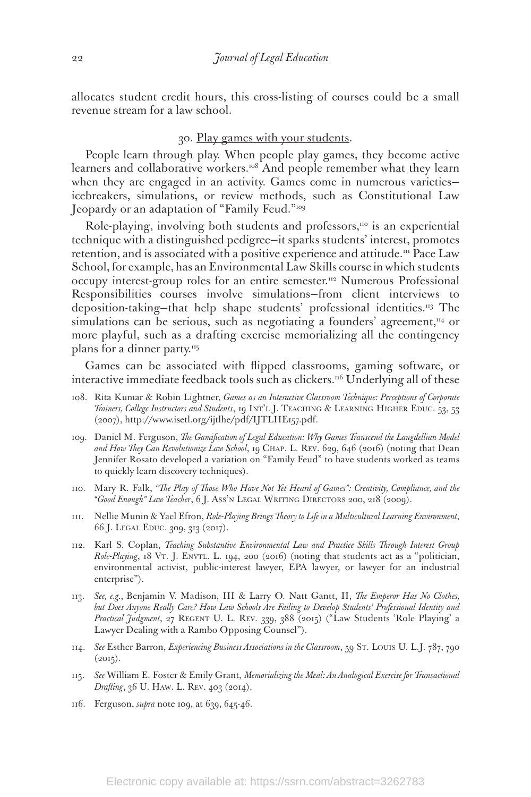allocates student credit hours, this cross-listing of courses could be a small revenue stream for a law school.

#### 30. Play games with your students.

People learn through play. When people play games, they become active learners and collaborative workers.<sup>108</sup> And people remember what they learn when they are engaged in an activity. Games come in numerous varietiesicebreakers, simulations, or review methods, such as Constitutional Law Jeopardy or an adaptation of "Family Feud."<sup>109</sup>

Role-playing, involving both students and professors, $10$  is an experiential technique with a distinguished pedigree—it sparks students' interest, promotes retention, and is associated with a positive experience and attitude.<sup>111</sup> Pace Law School, for example, has an Environmental Law Skills course in which students occupy interest-group roles for an entire semester.<sup>112</sup> Numerous Professional Responsibilities courses involve simulations—from client interviews to deposition-taking—that help shape students' professional identities.113 The simulations can be serious, such as negotiating a founders' agreement, $n_4$  or more playful, such as a drafting exercise memorializing all the contingency plans for a dinner party.<sup>115</sup>

Games can be associated with flipped classrooms, gaming software, or interactive immediate feedback tools such as clickers.<sup>116</sup> Underlying all of these

- 108. Rita Kumar & Robin Lightner, *Games as an Interactive Classroom Technique: Perceptions of Corporate Trainers, College Instructors and Students*, 19 INT'L J. TEACHING & LEARNING HIGHER EDUC. 53, 53 (2007), http://www.isetl.org/ijtlhe/pdf/IJTLHE157.pdf.
- 109. Daniel M. Ferguson, *The Gamification of Legal Education: Why Games Transcend the Langdellian Model and How They Can Revolutionize Law School*, 19 Chap. L. Rev. 629, 646 (2016) (noting that Dean Jennifer Rosato developed a variation on "Family Feud" to have students worked as teams to quickly learn discovery techniques).
- 110. Mary R. Falk, *"The Play of Those Who Have Not Yet Heard of Games": Creativity, Compliance, and the "Good Enough" Law Teacher*, 6 J. Ass'n Legal Writing Directors 200, 218 (2009).
- 111. Nellie Munin & Yael Efron, *Role-Playing Brings Theory to Life in a Multicultural Learning Environment*, 66 J. Legal Educ. 309, 313 (2017).
- 112. Karl S. Coplan, *Teaching Substantive Environmental Law and Practice Skills Through Interest Group Role-Playing*, 18 Vt. J. Envtl. L. 194, 200 (2016) (noting that students act as a "politician, environmental activist, public-interest lawyer, EPA lawyer, or lawyer for an industrial enterprise").
- 113. *See, e.g.*, Benjamin V. Madison, III & Larry O. Natt Gantt, II, *The Emperor Has No Clothes, but Does Anyone Really Care? How Law Schools Are Failing to Develop Students' Professional Identity and Practical Judgment*, 27 Regent U. L. Rev. 339, 388 (2015) ("Law Students 'Role Playing' a Lawyer Dealing with a Rambo Opposing Counsel").
- 114. *See* Esther Barron, *Experiencing Business Associations in the Classroom*, 59 St. Louis U. L.J. 787, 790  $(2015).$
- 115. *See* William E. Foster & Emily Grant, *Memorializing the Meal: An Analogical Exercise for Transactional Drafting*, 36 U. HAW. L. REV. 403 (2014).
- 116. Ferguson, *supra* note 109, at 639, 645-46.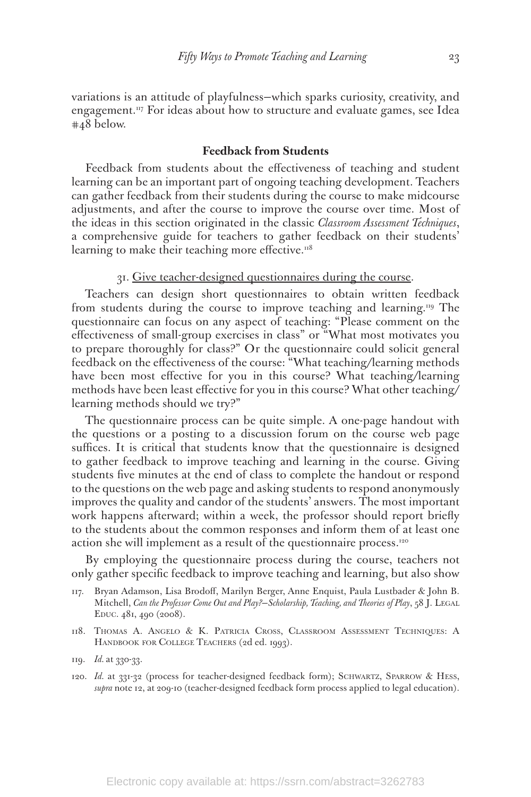variations is an attitude of playfulness—which sparks curiosity, creativity, and engagement.<sup>117</sup> For ideas about how to structure and evaluate games, see Idea #48 below.

#### **Feedback from Students**

Feedback from students about the effectiveness of teaching and student learning can be an important part of ongoing teaching development. Teachers can gather feedback from their students during the course to make midcourse adjustments, and after the course to improve the course over time. Most of the ideas in this section originated in the classic *Classroom Assessment Techniques*, a comprehensive guide for teachers to gather feedback on their students' learning to make their teaching more effective. $118$ 

#### 31. Give teacher-designed questionnaires during the course.

Teachers can design short questionnaires to obtain written feedback from students during the course to improve teaching and learning.119 The questionnaire can focus on any aspect of teaching: "Please comment on the effectiveness of small-group exercises in class" or "What most motivates you to prepare thoroughly for class?" Or the questionnaire could solicit general feedback on the effectiveness of the course: "What teaching/learning methods have been most effective for you in this course? What teaching/learning methods have been least effective for you in this course? What other teaching/ learning methods should we try?"

The questionnaire process can be quite simple. A one-page handout with the questions or a posting to a discussion forum on the course web page suffices. It is critical that students know that the questionnaire is designed to gather feedback to improve teaching and learning in the course. Giving students five minutes at the end of class to complete the handout or respond to the questions on the web page and asking students to respond anonymously improves the quality and candor of the students' answers. The most important work happens afterward; within a week, the professor should report briefly to the students about the common responses and inform them of at least one action she will implement as a result of the questionnaire process.120

By employing the questionnaire process during the course, teachers not only gather specific feedback to improve teaching and learning, but also show

- 117. Bryan Adamson, Lisa Brodoff, Marilyn Berger, Anne Enquist, Paula Lustbader & John B. Mitchell, *Can the Professor Come Out and Play?*—*Scholarship, Teaching, and Theories of Play*, 58 J. LEGAL Educ. 481, 490 (2008).
- 118. Thomas A. Angelo & K. Patricia Cross, Classroom Assessment Techniques: A HANDBOOK FOR COLLEGE TEACHERS (2d ed. 1993).

120. *Id.* at 331-32 (process for teacher-designed feedback form); SCHWARTZ, SPARROW & HESS, *supra* note 12, at 209-10 (teacher-designed feedback form process applied to legal education).

<sup>119.</sup> *Id.* at 330-33.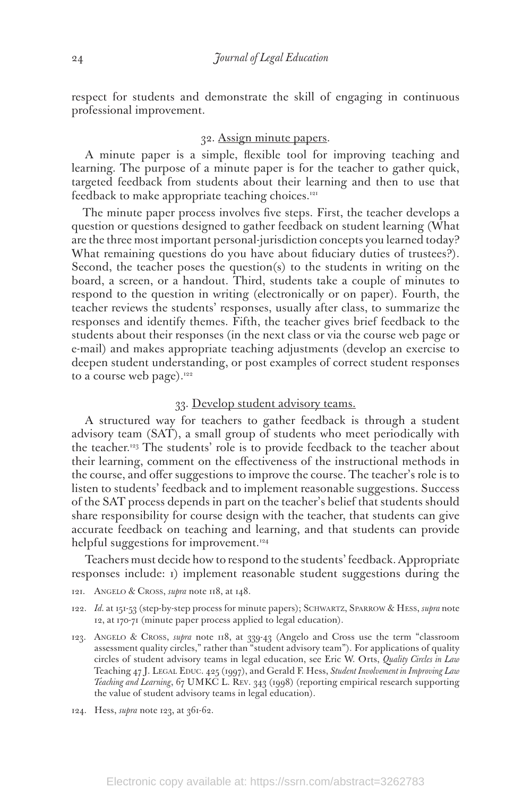respect for students and demonstrate the skill of engaging in continuous professional improvement.

#### 32. Assign minute papers.

A minute paper is a simple, flexible tool for improving teaching and learning. The purpose of a minute paper is for the teacher to gather quick, targeted feedback from students about their learning and then to use that feedback to make appropriate teaching choices.<sup>121</sup>

The minute paper process involves five steps. First, the teacher develops a question or questions designed to gather feedback on student learning (What are the three most important personal-jurisdiction concepts you learned today? What remaining questions do you have about fiduciary duties of trustees?). Second, the teacher poses the question(s) to the students in writing on the board, a screen, or a handout. Third, students take a couple of minutes to respond to the question in writing (electronically or on paper). Fourth, the teacher reviews the students' responses, usually after class, to summarize the responses and identify themes. Fifth, the teacher gives brief feedback to the students about their responses (in the next class or via the course web page or e-mail) and makes appropriate teaching adjustments (develop an exercise to deepen student understanding, or post examples of correct student responses to a course web page). $122$ 

#### 33. Develop student advisory teams.

A structured way for teachers to gather feedback is through a student advisory team (SAT), a small group of students who meet periodically with the teacher.123 The students' role is to provide feedback to the teacher about their learning, comment on the effectiveness of the instructional methods in the course, and offer suggestions to improve the course. The teacher's role is to listen to students' feedback and to implement reasonable suggestions. Success of the SAT process depends in part on the teacher's belief that students should share responsibility for course design with the teacher, that students can give accurate feedback on teaching and learning, and that students can provide helpful suggestions for improvement.<sup>124</sup>

Teachers must decide how to respond to the students' feedback. Appropriate responses include: 1) implement reasonable student suggestions during the

- 121. Angelo & Cross, *supra* note 118, at 148.
- 122. *Id.* at 151-53 (step-by-step process for minute papers); Schwartz, Sparrow & Hess, *supra* note 12, at 170-71 (minute paper process applied to legal education).
- 123. Angelo & Cross, *supra* note 118, at 339-43 (Angelo and Cross use the term "classroom assessment quality circles," rather than "student advisory team"). For applications of quality circles of student advisory teams in legal education, see Eric W. Orts, *Quality Circles in Law*  Teaching 47 J. LEGAL EDUC. 425 (1997), and Gerald F. Hess, *Student Involvement in Improving Law Teaching and Learning*, 67 UMKC L. Rev. 343 (1998) (reporting empirical research supporting the value of student advisory teams in legal education).
- 124. Hess, *supra* note 123, at 361-62.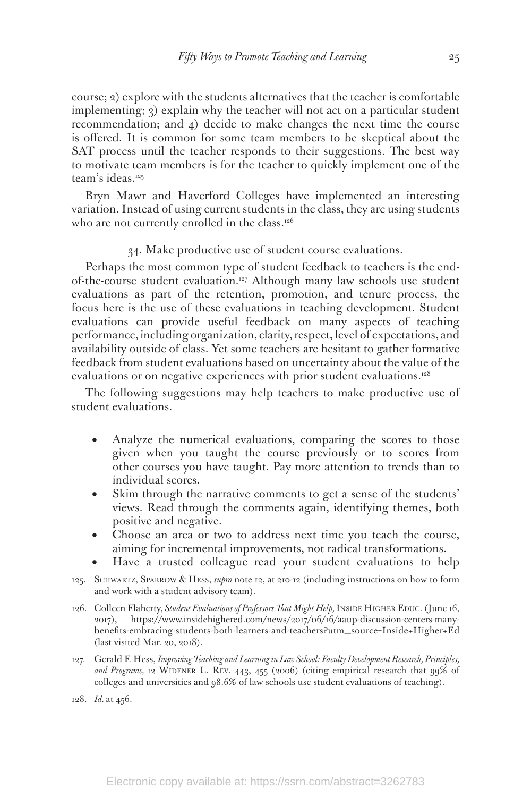course; 2) explore with the students alternatives that the teacher is comfortable implementing; 3) explain why the teacher will not act on a particular student recommendation; and 4) decide to make changes the next time the course is offered. It is common for some team members to be skeptical about the SAT process until the teacher responds to their suggestions. The best way to motivate team members is for the teacher to quickly implement one of the team's ideas.125

Bryn Mawr and Haverford Colleges have implemented an interesting variation. Instead of using current students in the class, they are using students who are not currently enrolled in the class. $126$ 

#### 34. Make productive use of student course evaluations.

Perhaps the most common type of student feedback to teachers is the endof-the-course student evaluation.<sup>127</sup> Although many law schools use student evaluations as part of the retention, promotion, and tenure process, the focus here is the use of these evaluations in teaching development. Student evaluations can provide useful feedback on many aspects of teaching performance, including organization, clarity, respect, level of expectations, and availability outside of class. Yet some teachers are hesitant to gather formative feedback from student evaluations based on uncertainty about the value of the evaluations or on negative experiences with prior student evaluations.<sup>128</sup>

The following suggestions may help teachers to make productive use of student evaluations.

- Analyze the numerical evaluations, comparing the scores to those given when you taught the course previously or to scores from other courses you have taught. Pay more attention to trends than to individual scores.
- Skim through the narrative comments to get a sense of the students' views. Read through the comments again, identifying themes, both positive and negative.
- Choose an area or two to address next time you teach the course, aiming for incremental improvements, not radical transformations.
- Have a trusted colleague read your student evaluations to help
- 125. Schwartz, Sparrow & Hess, *supra* note 12, at 210-12 (including instructions on how to form and work with a student advisory team).
- 126. Colleen Flaherty, *Student Evaluations of Professors That Might Help*, INSIDE HIGHER EDUC. (June 16, 2017), https://www.insidehighered.com/news/2017/06/16/aaup-discussion-centers-manybenefits-embracing-students-both-learners-and-teachers?utm\_source=Inside+Higher+Ed (last visited Mar. 20, 2018).
- 127. Gerald F. Hess, *Improving Teaching and Learning in Law School: Faculty Development Research, Principles,*  and Programs, 12 WIDENER L. REV. 443, 455 (2006) (citing empirical research that 99% of colleges and universities and 98.6% of law schools use student evaluations of teaching).
- 128. *Id.* at 456.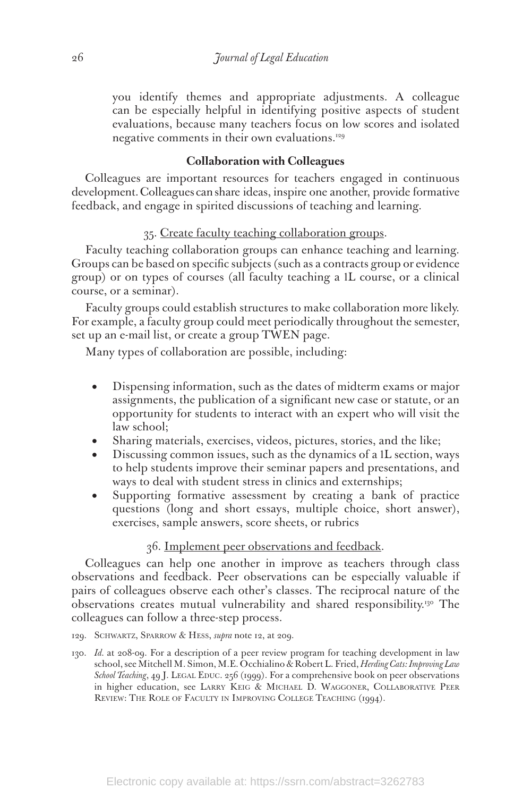you identify themes and appropriate adjustments. A colleague can be especially helpful in identifying positive aspects of student evaluations, because many teachers focus on low scores and isolated negative comments in their own evaluations.<sup>129</sup>

#### **Collaboration with Colleagues**

Colleagues are important resources for teachers engaged in continuous development. Colleagues can share ideas, inspire one another, provide formative feedback, and engage in spirited discussions of teaching and learning.

#### 35. Create faculty teaching collaboration groups.

Faculty teaching collaboration groups can enhance teaching and learning. Groups can be based on specific subjects (such as a contracts group or evidence group) or on types of courses (all faculty teaching a 1L course, or a clinical course, or a seminar).

Faculty groups could establish structures to make collaboration more likely. For example, a faculty group could meet periodically throughout the semester, set up an e-mail list, or create a group TWEN page.

Many types of collaboration are possible, including:

- Dispensing information, such as the dates of midterm exams or major assignments, the publication of a significant new case or statute, or an opportunity for students to interact with an expert who will visit the law school;
- Sharing materials, exercises, videos, pictures, stories, and the like;
- Discussing common issues, such as the dynamics of a 1L section, ways to help students improve their seminar papers and presentations, and ways to deal with student stress in clinics and externships;
- Supporting formative assessment by creating a bank of practice questions (long and short essays, multiple choice, short answer), exercises, sample answers, score sheets, or rubrics

#### 36. Implement peer observations and feedback.

Colleagues can help one another in improve as teachers through class observations and feedback. Peer observations can be especially valuable if pairs of colleagues observe each other's classes. The reciprocal nature of the observations creates mutual vulnerability and shared responsibility.130 The colleagues can follow a three-step process.

- 129. Schwartz, Sparrow & Hess, *supra* note 12, at 209.
- 130. *Id.* at 208-09. For a description of a peer review program for teaching development in law school, see Mitchell M. Simon, M.E. Occhialino & Robert L. Fried, *Herding Cats: Improving Law*  School Teaching, 49 J. LEGAL EDUC. 256 (1999). For a comprehensive book on peer observations in higher education, see Larry Keig & Michael D. Waggoner, Collaborative Peer REVIEW: THE ROLE OF FACULTY IN IMPROVING COLLEGE TEACHING (1994).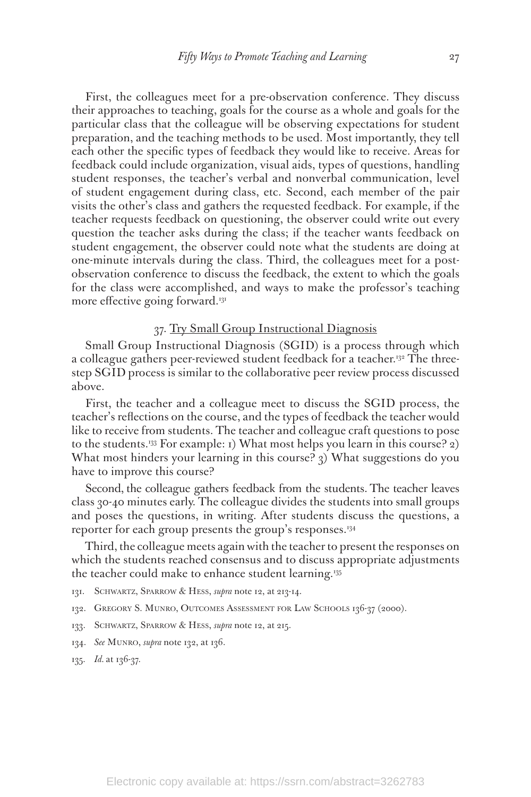First, the colleagues meet for a pre-observation conference. They discuss their approaches to teaching, goals for the course as a whole and goals for the particular class that the colleague will be observing expectations for student preparation, and the teaching methods to be used. Most importantly, they tell each other the specific types of feedback they would like to receive. Areas for feedback could include organization, visual aids, types of questions, handling student responses, the teacher's verbal and nonverbal communication, level of student engagement during class, etc. Second, each member of the pair visits the other's class and gathers the requested feedback. For example, if the teacher requests feedback on questioning, the observer could write out every question the teacher asks during the class; if the teacher wants feedback on student engagement, the observer could note what the students are doing at one-minute intervals during the class. Third, the colleagues meet for a postobservation conference to discuss the feedback, the extent to which the goals for the class were accomplished, and ways to make the professor's teaching more effective going forward.<sup>131</sup>

#### 37. Try Small Group Instructional Diagnosis

Small Group Instructional Diagnosis (SGID) is a process through which a colleague gathers peer-reviewed student feedback for a teacher.<sup>132</sup> The threestep SGID process is similar to the collaborative peer review process discussed above.

First, the teacher and a colleague meet to discuss the SGID process, the teacher's reflections on the course, and the types of feedback the teacher would like to receive from students. The teacher and colleague craft questions to pose to the students.<sup>133</sup> For example: 1) What most helps you learn in this course? 2) What most hinders your learning in this course? 3) What suggestions do you have to improve this course?

Second, the colleague gathers feedback from the students. The teacher leaves class 30-40 minutes early. The colleague divides the students into small groups and poses the questions, in writing. After students discuss the questions, a reporter for each group presents the group's responses.<sup>134</sup>

Third, the colleague meets again with the teacher to present the responses on which the students reached consensus and to discuss appropriate adjustments the teacher could make to enhance student learning.135

- 131. Schwartz, Sparrow & Hess, *supra* note 12, at 213-14.
- 132. GREGORY S. MUNRO, OUTCOMES ASSESSMENT FOR LAW SCHOOLS 136-37 (2000).
- 133. Schwartz, Sparrow & Hess, *supra* note 12, at 215.
- 134. *See* Munro, *supra* note 132, at 136.
- 135. *Id.* at 136-37.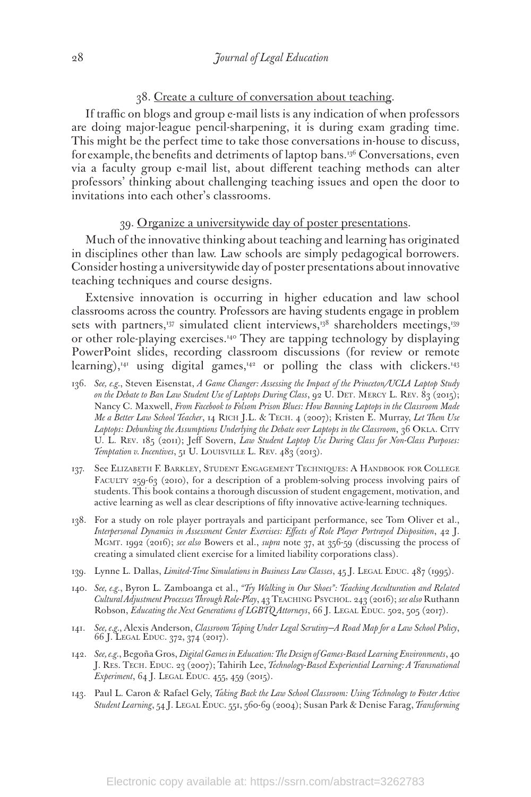#### 38. Create a culture of conversation about teaching.

If traffic on blogs and group e-mail lists is any indication of when professors are doing major-league pencil-sharpening, it is during exam grading time. This might be the perfect time to take those conversations in-house to discuss, for example, the benefits and detriments of laptop bans.<sup>136</sup> Conversations, even via a faculty group e-mail list, about different teaching methods can alter professors' thinking about challenging teaching issues and open the door to invitations into each other's classrooms.

#### 39. Organize a universitywide day of poster presentations.

Much of the innovative thinking about teaching and learning has originated in disciplines other than law. Law schools are simply pedagogical borrowers. Consider hosting a universitywide day of poster presentations about innovative teaching techniques and course designs.

Extensive innovation is occurring in higher education and law school classrooms across the country. Professors are having students engage in problem sets with partners,<sup>137</sup> simulated client interviews,<sup>138</sup> shareholders meetings,<sup>139</sup> or other role-playing exercises.140 They are tapping technology by displaying PowerPoint slides, recording classroom discussions (for review or remote learning), $41$  using digital games, $42$  or polling the class with clickers. $143$ 

- 136. *See, e.g.*, Steven Eisenstat, *A Game Changer: Assessing the Impact of the Princeton/UCLA Laptop Study on the Debate to Ban Law Student Use of Laptops During Class*, 92 U. Det. Mercy L. Rev. 83 (2015); Nancy C. Maxwell, *From Facebook to Folsom Prison Blues: How Banning Laptops in the Classroom Made Me a Better Law School Teacher*, 14 Rich J.L. & Tech. 4 (2007); Kristen E. Murray, *Let Them Use*  Laptops: Debunking the Assumptions Underlying the Debate over Laptops in the Classroom, 36 OKLA. CITY U. L. Rev. 185 (2011); Jeff Sovern, *Law Student Laptop Use During Class for Non-Class Purposes: Temptation v. Incentives*, 51 U. LOUISVILLE L. REV. 483 (2013).
- 137. See Elizabeth F. Barkley, Student Engagement Techniques: A Handbook for College FACULTY 259-63 (2010), for a description of a problem-solving process involving pairs of students. This book contains a thorough discussion of student engagement, motivation, and active learning as well as clear descriptions of fifty innovative active-learning techniques.
- 138. For a study on role player portrayals and participant performance, see Tom Oliver et al., *Interpersonal Dynamics in Assessment Center Exercises: Effects of Role Player Portrayed Disposition*, 42 J. Mgmt. 1992 (2016); *see also* Bowers et al., *supra* note 37, at 356-59 (discussing the process of creating a simulated client exercise for a limited liability corporations class).
- 139. Lynne L. Dallas, *Limited-Time Simulations in Business Law Classes*, 45 J. LEGAL EDUC. 487 (1995).
- 140. *See, e.g.*, Byron L. Zamboanga et al., *"Try Walking in Our Shoes": Teaching Acculturation and Related Cultural Adjustment Processes Through Role-Play*, 43 Teaching Psychol. 243 (2016); *see also* Ruthann Robson, *Educating the Next Generations of LGBTQ Attorneys*, 66 J. LEGAL EDUC. 502, 505 (2017).
- 141. *See, e.g.*, Alexis Anderson, *Classroom Taping Under Legal Scrutiny—A Road Map for a Law School Policy*, 66 J. Legal Educ. 372, 374 (2017).
- 142. *See, e.g.*, Begoña Gros, *Digital Games in Education: The Design of Games-Based Learning Environments*, 40 J. Res. Tech. Educ. 23 (2007); Tahirih Lee, *Technology-Based Experiential Learning: A Transnational Experiment*, 64 J. LEGAL EDUC. 455, 459 (2015).
- 143. Paul L. Caron & Rafael Gely, *Taking Back the Law School Classroom: Using Technology to Foster Active Student Learning*, 54 J. Legal Educ. 551, 560-69 (2004); Susan Park & Denise Farag, *Transforming*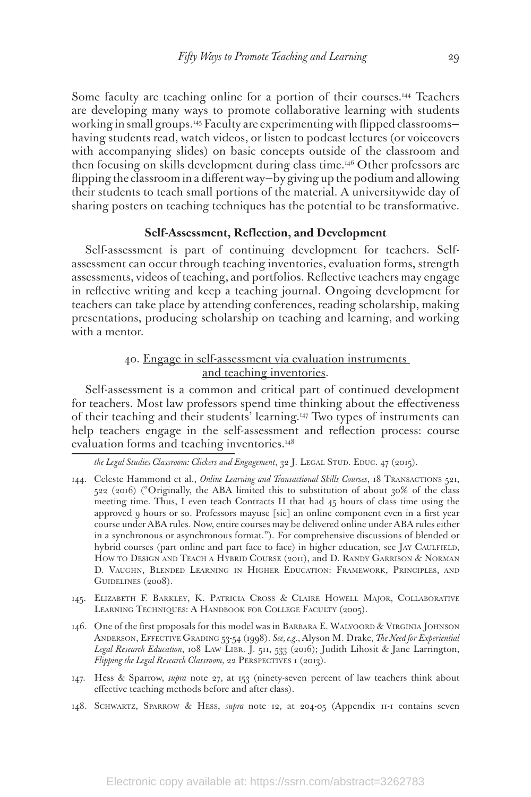Some faculty are teaching online for a portion of their courses.<sup>144</sup> Teachers are developing many ways to promote collaborative learning with students working in small groups.<sup>145</sup> Faculty are experimenting with flipped classroomshaving students read, watch videos, or listen to podcast lectures (or voiceovers with accompanying slides) on basic concepts outside of the classroom and then focusing on skills development during class time.146 Other professors are flipping the classroom in a different way—by giving up the podium and allowing their students to teach small portions of the material. A universitywide day of sharing posters on teaching techniques has the potential to be transformative.

#### **Self-Assessment, Reflection, and Development**

Self-assessment is part of continuing development for teachers. Selfassessment can occur through teaching inventories, evaluation forms, strength assessments, videos of teaching, and portfolios. Reflective teachers may engage in reflective writing and keep a teaching journal. Ongoing development for teachers can take place by attending conferences, reading scholarship, making presentations, producing scholarship on teaching and learning, and working with a mentor.

# 40. Engage in self-assessment via evaluation instruments and teaching inventories.

Self-assessment is a common and critical part of continued development for teachers. Most law professors spend time thinking about the effectiveness of their teaching and their students' learning.147 Two types of instruments can help teachers engage in the self-assessment and reflection process: course evaluation forms and teaching inventories.<sup>148</sup>

the Legal Studies Classroom: Clickers and Engagement, 32 J. LEGAL STUD. EDUC. 47 (2015).

- 144. Celeste Hammond et al., *Online Learning and Transactional Skills Courses*, 18 Transactions 521, 522 (2016) ("Originally, the ABA limited this to substitution of about 30% of the class meeting time. Thus, I even teach Contracts II that had 45 hours of class time using the approved 9 hours or so. Professors mayuse [sic] an online component even in a first year course under ABA rules. Now, entire courses may be delivered online under ABA rules either in a synchronous or asynchronous format."). For comprehensive discussions of blended or hybrid courses (part online and part face to face) in higher education, see JAY CAULFIELD, How to Design and Teach a Hybrid Course (2011), and D. Randy Garrison & Norman D. Vaughn, Blended Learning in Higher Education: Framework, Principles, and GUIDELINES (2008).
- 145. Elizabeth F. Barkley, K. Patricia Cross & Claire Howell Major, Collaborative LEARNING TECHNIQUES: A HANDBOOK FOR COLLEGE FACULTY (2005).
- 146. One of the first proposals for this model was in Barbara E. Walvoord & Virginia Johnson Anderson, Effective Grading 53-54 (1998). *See, e.g.*, Alyson M. Drake, *The Need for Experiential*  Legal Research Education, 108 LAW LIBR. J. 511, 533 (2016); Judith Lihosit & Jane Larrington, *Flipping the Legal Research Classroom,* 22 PERSPECTIVES 1 (2013).
- 147. Hess & Sparrow, *supra* note 27, at 153 (ninety-seven percent of law teachers think about effective teaching methods before and after class).
- 148. Schwartz, Sparrow & Hess, *supra* note 12, at 204-05 (Appendix 11-1 contains seven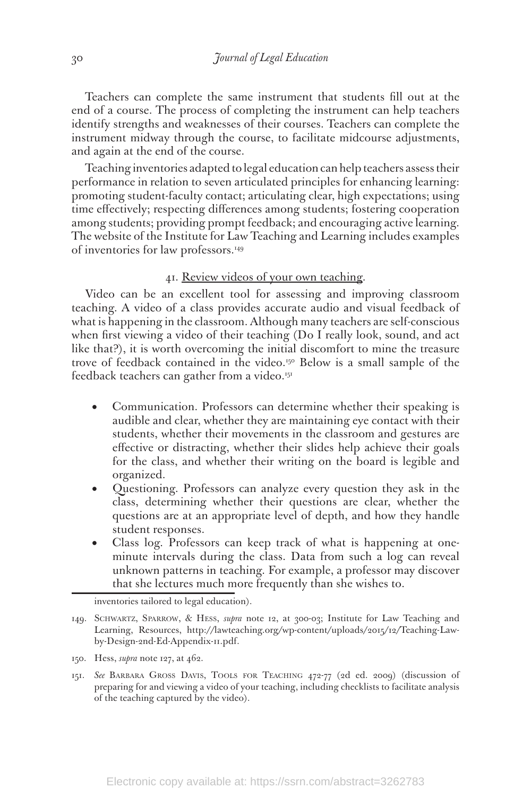Teachers can complete the same instrument that students fill out at the end of a course. The process of completing the instrument can help teachers identify strengths and weaknesses of their courses. Teachers can complete the instrument midway through the course, to facilitate midcourse adjustments, and again at the end of the course.

Teaching inventories adapted to legal education can help teachers assess their performance in relation to seven articulated principles for enhancing learning: promoting student-faculty contact; articulating clear, high expectations; using time effectively; respecting differences among students; fostering cooperation among students; providing prompt feedback; and encouraging active learning. The website of the Institute for Law Teaching and Learning includes examples of inventories for law professors.<sup>149</sup>

#### 41. Review videos of your own teaching.

Video can be an excellent tool for assessing and improving classroom teaching. A video of a class provides accurate audio and visual feedback of what is happening in the classroom. Although many teachers are self-conscious when first viewing a video of their teaching (Do I really look, sound, and act like that?), it is worth overcoming the initial discomfort to mine the treasure trove of feedback contained in the video.150 Below is a small sample of the feedback teachers can gather from a video.<sup>151</sup>

- Communication. Professors can determine whether their speaking is audible and clear, whether they are maintaining eye contact with their students, whether their movements in the classroom and gestures are effective or distracting, whether their slides help achieve their goals for the class, and whether their writing on the board is legible and organized.
- • Questioning. Professors can analyze every question they ask in the class, determining whether their questions are clear, whether the questions are at an appropriate level of depth, and how they handle student responses.
- Class log. Professors can keep track of what is happening at oneminute intervals during the class. Data from such a log can reveal unknown patterns in teaching. For example, a professor may discover that she lectures much more frequently than she wishes to.

inventories tailored to legal education).

- 149. Schwartz, Sparrow, & Hess, *supra* note 12, at 300-03; Institute for Law Teaching and Learning, Resources, http://lawteaching.org/wp-content/uploads/2015/12/Teaching-Lawby-Design-2nd-Ed-Appendix-11.pdf.
- 150. Hess, *supra* note 127, at 462.
- 151. *See* Barbara Gross Davis, Tools for Teaching 472-77 (2d ed. 2009) (discussion of preparing for and viewing a video of your teaching, including checklists to facilitate analysis of the teaching captured by the video).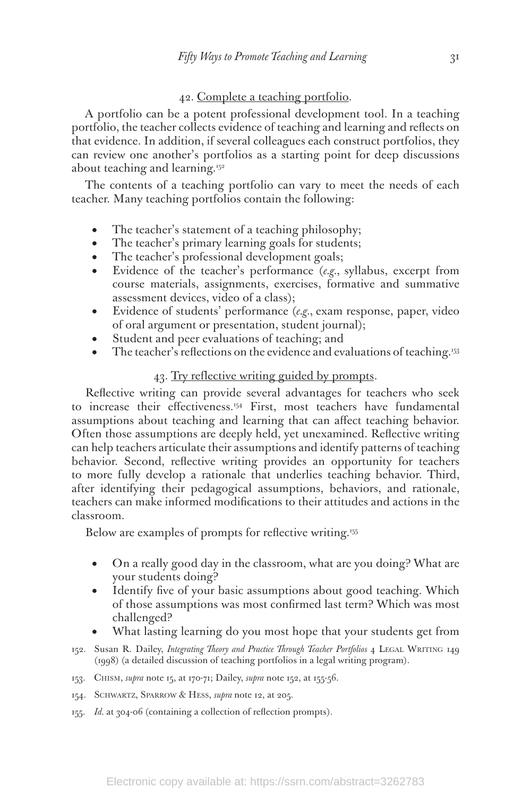# 42. Complete a teaching portfolio.

A portfolio can be a potent professional development tool. In a teaching portfolio, the teacher collects evidence of teaching and learning and reflects on that evidence. In addition, if several colleagues each construct portfolios, they can review one another's portfolios as a starting point for deep discussions about teaching and learning.152

The contents of a teaching portfolio can vary to meet the needs of each teacher. Many teaching portfolios contain the following:

- The teacher's statement of a teaching philosophy;
- The teacher's primary learning goals for students;
- The teacher's professional development goals;
- Evidence of the teacher's performance (*e.g.*, syllabus, excerpt from course materials, assignments, exercises, formative and summative assessment devices, video of a class);
- Evidence of students' performance (*e.g.*, exam response, paper, video of oral argument or presentation, student journal);
- Student and peer evaluations of teaching; and
- The teacher's reflections on the evidence and evaluations of teaching.<sup>153</sup>

#### 43. Try reflective writing guided by prompts.

Reflective writing can provide several advantages for teachers who seek to increase their effectiveness.<sup>154</sup> First, most teachers have fundamental assumptions about teaching and learning that can affect teaching behavior. Often those assumptions are deeply held, yet unexamined. Reflective writing can help teachers articulate their assumptions and identify patterns of teaching behavior. Second, reflective writing provides an opportunity for teachers to more fully develop a rationale that underlies teaching behavior. Third, after identifying their pedagogical assumptions, behaviors, and rationale, teachers can make informed modifications to their attitudes and actions in the classroom.

Below are examples of prompts for reflective writing.<sup>155</sup>

- On a really good day in the classroom, what are you doing? What are your students doing?
- Identify five of your basic assumptions about good teaching. Which of those assumptions was most confirmed last term? Which was most challenged?
- What lasting learning do you most hope that your students get from
- 152. Susan R. Dailey, *Integrating Theory and Practice Through Teacher Portfolios 4* LEGAL WRITING 149 (1998) (a detailed discussion of teaching portfolios in a legal writing program).
- 153. Chism, *supra* note 15, at 170-71; Dailey, *supra* note 152, at 155-56.
- 154. Schwartz, Sparrow & Hess, *supra* note 12, at 205.
- 155. *Id.* at 304-06 (containing a collection of reflection prompts).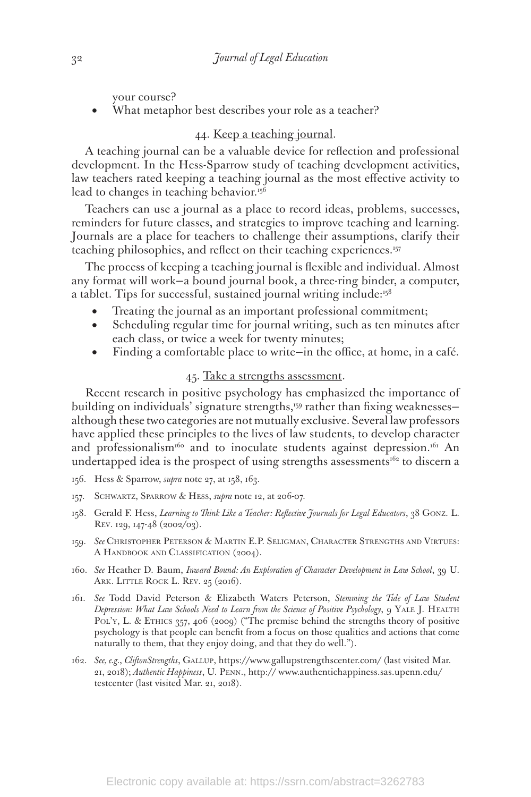your course?

What metaphor best describes your role as a teacher?

# 44. Keep a teaching journal.

A teaching journal can be a valuable device for reflection and professional development. In the Hess-Sparrow study of teaching development activities, law teachers rated keeping a teaching journal as the most effective activity to lead to changes in teaching behavior.<sup>156</sup>

Teachers can use a journal as a place to record ideas, problems, successes, reminders for future classes, and strategies to improve teaching and learning. Journals are a place for teachers to challenge their assumptions, clarify their teaching philosophies, and reflect on their teaching experiences.<sup>157</sup>

The process of keeping a teaching journal is flexible and individual. Almost any format will work—a bound journal book, a three-ring binder, a computer, a tablet. Tips for successful, sustained journal writing include:<sup>158</sup>

- Treating the journal as an important professional commitment;
- Scheduling regular time for journal writing, such as ten minutes after each class, or twice a week for twenty minutes;
- Finding a comfortable place to write—in the office, at home, in a café.

# 45. Take a strengths assessment.

Recent research in positive psychology has emphasized the importance of building on individuals' signature strengths,<sup>159</sup> rather than fixing weaknessesalthough these two categories are not mutually exclusive. Several law professors have applied these principles to the lives of law students, to develop character and professionalism<sup>160</sup> and to inoculate students against depression.<sup>161</sup> An undertapped idea is the prospect of using strengths assessments<sup>162</sup> to discern a

- 156. Hess & Sparrow, *supra* note 27, at 158, 163.
- 157. Schwartz, Sparrow & Hess, *supra* note 12, at 206-07.
- 158. Gerald F. Hess, *Learning to Think Like a Teacher: Reflective Journals for Legal Educators*, 38 Gonz. L. Rev. 129, 147-48 (2002/03).
- 159. *See* Christopher Peterson & Martin E.P. Seligman, Character Strengths and Virtues: A HANDBOOK AND CLASSIFICATION (2004).
- 160. *See* Heather D. Baum, *Inward Bound: An Exploration of Character Development in Law School*, 39 U. ARK. LITTLE ROCK L. REV. 25 (2016).
- 161. *See* Todd David Peterson & Elizabeth Waters Peterson, *Stemming the Tide of Law Student*  Depression: What Law Schools Need to Learn from the Science of Positive Psychology, 9 YALE J. HEALTH POL'Y, L. & ETHICS 357, 406 (2009) ("The premise behind the strengths theory of positive psychology is that people can benefit from a focus on those qualities and actions that come naturally to them, that they enjoy doing, and that they do well.").
- 162. *See, e.g.*, *CliftonStrengths*, Gallup, https://www.gallupstrengthscenter.com/ (last visited Mar. 21, 2018); *Authentic Happiness*, U. Penn., http:// www.authentichappiness.sas.upenn.edu/ testcenter (last visited Mar. 21, 2018).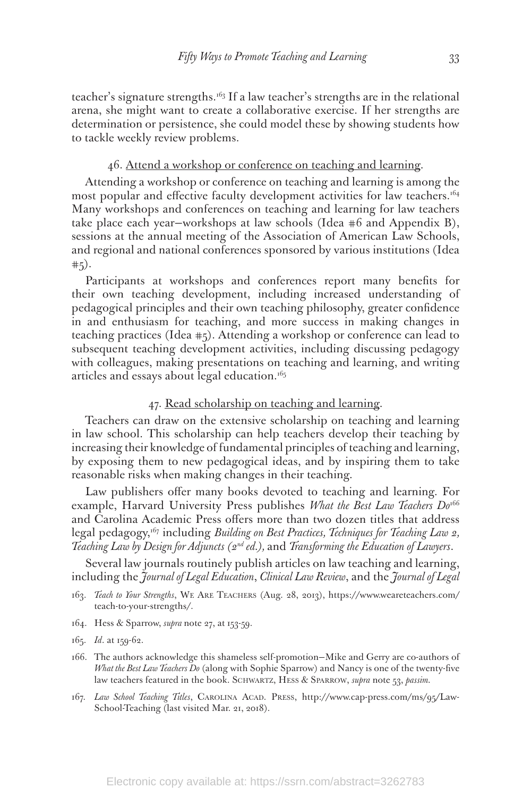teacher's signature strengths.163 If a law teacher's strengths are in the relational arena, she might want to create a collaborative exercise. If her strengths are determination or persistence, she could model these by showing students how to tackle weekly review problems.

#### 46. Attend a workshop or conference on teaching and learning.

Attending a workshop or conference on teaching and learning is among the most popular and effective faculty development activities for law teachers.<sup>164</sup> Many workshops and conferences on teaching and learning for law teachers take place each year—workshops at law schools (Idea #6 and Appendix B), sessions at the annual meeting of the Association of American Law Schools, and regional and national conferences sponsored by various institutions (Idea  $+5).$ 

Participants at workshops and conferences report many benefits for their own teaching development, including increased understanding of pedagogical principles and their own teaching philosophy, greater confidence in and enthusiasm for teaching, and more success in making changes in teaching practices (Idea #5). Attending a workshop or conference can lead to subsequent teaching development activities, including discussing pedagogy with colleagues, making presentations on teaching and learning, and writing articles and essays about legal education.<sup>165</sup>

#### 47. Read scholarship on teaching and learning.

Teachers can draw on the extensive scholarship on teaching and learning in law school. This scholarship can help teachers develop their teaching by increasing their knowledge of fundamental principles of teaching and learning, by exposing them to new pedagogical ideas, and by inspiring them to take reasonable risks when making changes in their teaching.

Law publishers offer many books devoted to teaching and learning. For example, Harvard University Press publishes *What the Best Law Teachers Do<sup>166</sup>* and Carolina Academic Press offers more than two dozen titles that address legal pedagogy,167 including *Building on Best Practices, Techniques for Teaching Law 2, Teaching Law by Design for Adjuncts (2nd ed.),* and *Transforming the Education of Lawyers*.

Several law journals routinely publish articles on law teaching and learning, including the *Journal of Legal Education*, *Clinical Law Review*, and the *Journal of Legal* 

- 163. *Teach to Your Strengths*, We Are Teachers (Aug. 28, 2013), https://www.weareteachers.com/ teach-to-your-strengths/.
- 164. Hess & Sparrow, *supra* note 27, at 153-59.
- 165. *Id*. at 159-62.
- 166. The authors acknowledge this shameless self-promotion—Mike and Gerry are co-authors of *What the Best Law Teachers Do* (along with Sophie Sparrow) and Nancy is one of the twenty-five law teachers featured in the book. Schwartz, Hess & Sparrow, *supra* note 53, *passim.*
- 167. *Law School Teaching Titles*, Carolina Acad. Press, http://www.cap-press.com/ms/95/Law-School-Teaching (last visited Mar. 21, 2018).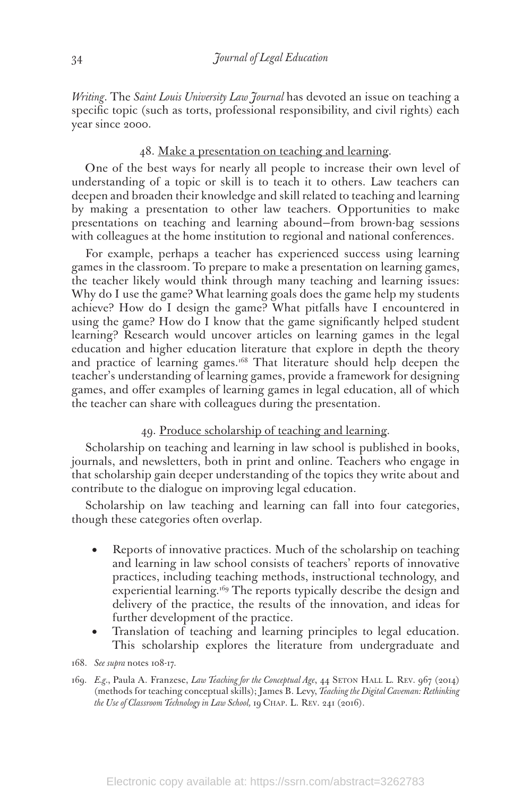*Writing*. The *Saint Louis University Law Journal* has devoted an issue on teaching a specific topic (such as torts, professional responsibility, and civil rights) each year since 2000.

#### 48. Make a presentation on teaching and learning.

One of the best ways for nearly all people to increase their own level of understanding of a topic or skill is to teach it to others. Law teachers can deepen and broaden their knowledge and skill related to teaching and learning by making a presentation to other law teachers. Opportunities to make presentations on teaching and learning abound—from brown-bag sessions with colleagues at the home institution to regional and national conferences.

For example, perhaps a teacher has experienced success using learning games in the classroom. To prepare to make a presentation on learning games, the teacher likely would think through many teaching and learning issues: Why do I use the game? What learning goals does the game help my students achieve? How do I design the game? What pitfalls have I encountered in using the game? How do I know that the game significantly helped student learning? Research would uncover articles on learning games in the legal education and higher education literature that explore in depth the theory and practice of learning games.<sup>168</sup> That literature should help deepen the teacher's understanding of learning games, provide a framework for designing games, and offer examples of learning games in legal education, all of which the teacher can share with colleagues during the presentation.

#### 49. Produce scholarship of teaching and learning.

Scholarship on teaching and learning in law school is published in books, journals, and newsletters, both in print and online. Teachers who engage in that scholarship gain deeper understanding of the topics they write about and contribute to the dialogue on improving legal education.

Scholarship on law teaching and learning can fall into four categories, though these categories often overlap.

- Reports of innovative practices. Much of the scholarship on teaching and learning in law school consists of teachers' reports of innovative practices, including teaching methods, instructional technology, and experiential learning.<sup>169</sup> The reports typically describe the design and delivery of the practice, the results of the innovation, and ideas for further development of the practice.
- Translation of teaching and learning principles to legal education. This scholarship explores the literature from undergraduate and
- 168. *See supra* notes 108-17.
- 169. *E.g.*, Paula A. Franzese, *Law Teaching for the Conceptual Age*, 44 Seton Hall L. Rev. 967 (2014) (methods for teaching conceptual skills); James B. Levy, *Teaching the Digital Caveman: Rethinking the Use of Classroom Technology in Law School,* 19 Chap. L. Rev. 241 (2016).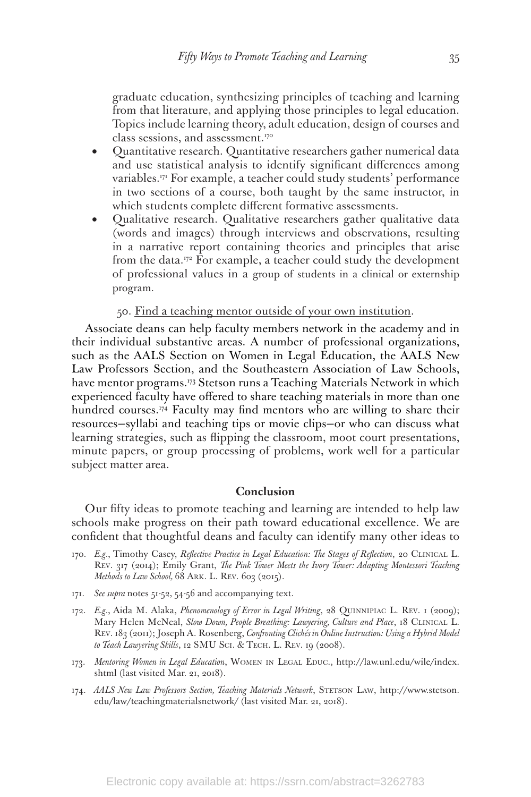graduate education, synthesizing principles of teaching and learning from that literature, and applying those principles to legal education. Topics include learning theory, adult education, design of courses and class sessions, and assessment.170

- Quantitative research. Quantitative researchers gather numerical data and use statistical analysis to identify significant differences among variables.171 For example, a teacher could study students' performance in two sections of a course, both taught by the same instructor, in which students complete different formative assessments.
- Qualitative research. Qualitative researchers gather qualitative data (words and images) through interviews and observations, resulting in a narrative report containing theories and principles that arise from the data.<sup>172</sup> For example, a teacher could study the development of professional values in a group of students in a clinical or externship program.

50. Find a teaching mentor outside of your own institution.

Associate deans can help faculty members network in the academy and in their individual substantive areas. A number of professional organizations, such as the AALS Section on Women in Legal Education, the AALS New Law Professors Section, and the Southeastern Association of Law Schools, have mentor programs.<sup>173</sup> Stetson runs a Teaching Materials Network in which experienced faculty have offered to share teaching materials in more than one hundred courses.<sup>174</sup> Faculty may find mentors who are willing to share their resources—syllabi and teaching tips or movie clips—or who can discuss what learning strategies, such as flipping the classroom, moot court presentations, minute papers, or group processing of problems, work well for a particular subject matter area.

#### **Conclusion**

Our fifty ideas to promote teaching and learning are intended to help law schools make progress on their path toward educational excellence. We are confident that thoughtful deans and faculty can identify many other ideas to

- 170. *E.g.*, Timothy Casey, *Reflective Practice in Legal Education: The Stages of Reflection*, 20 Clinical L. Rev. 317 (2014); Emily Grant, *The Pink Tower Meets the Ivory Tower: Adapting Montessori Teaching Methods to Law School, 68 ARK. L. REV. 603 (2015).*
- 171. *See supra* notes 51-52, 54-56 and accompanying text.
- 172. *E.g.*, Aida M. Alaka, *Phenomenology of Error in Legal Writing*, 28 Quinnipiac L. Rev. 1 (2009); Mary Helen McNeal, *Slow Down, People Breathing: Lawyering, Culture and Place*, 18 CLINICAL L. Rev. 183 (2011); Joseph A. Rosenberg, *Confronting Clichés in Online Instruction: Using a Hybrid Model to Teach Lawyering Skills*, 12 SMU Sci. & Tech. L. Rev. 19 (2008).
- 173. *Mentoring Women in Legal Education*, Women in Legal Educ., http://law.unl.edu/wile/index. shtml (last visited Mar. 21, 2018).
- 174. *AALS New Law Professors Section, Teaching Materials Network*, Stetson Law, http://www.stetson. edu/law/teachingmaterialsnetwork/ (last visited Mar. 21, 2018).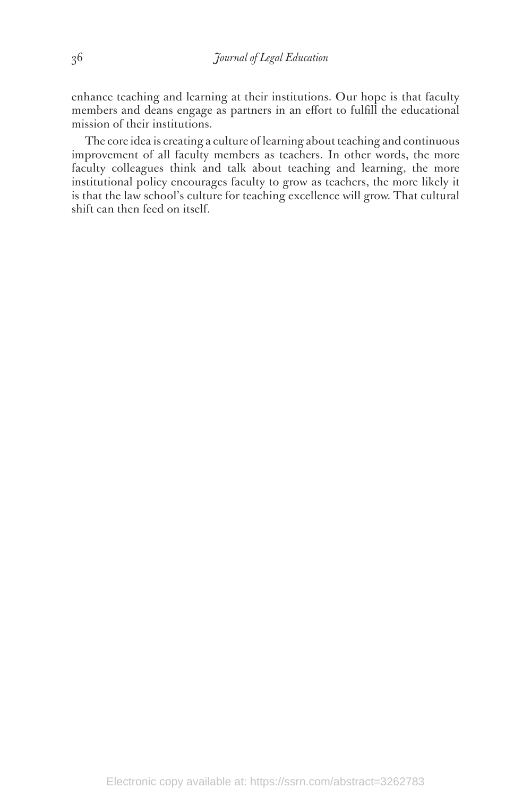enhance teaching and learning at their institutions. Our hope is that faculty members and deans engage as partners in an effort to fulfill the educational mission of their institutions.

The core idea is creating a culture of learning about teaching and continuous improvement of all faculty members as teachers. In other words, the more faculty colleagues think and talk about teaching and learning, the more institutional policy encourages faculty to grow as teachers, the more likely it is that the law school's culture for teaching excellence will grow. That cultural shift can then feed on itself.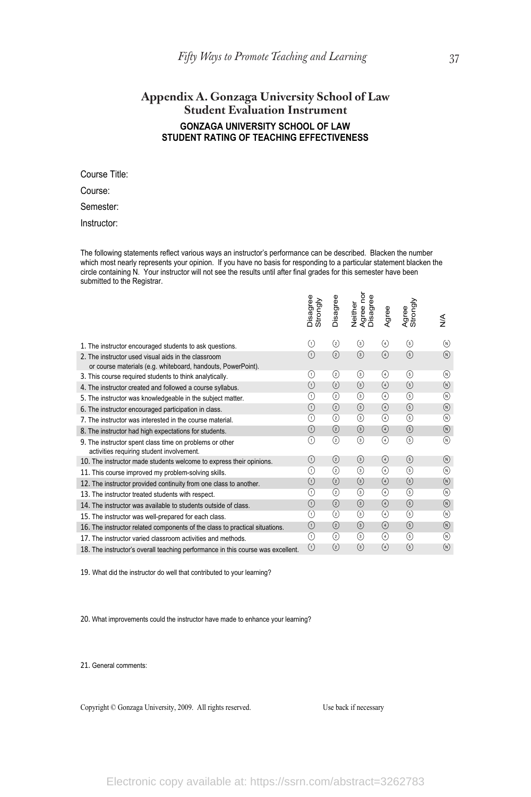# **Appendix A. Gonzaga University School of Law Student Evaluation Instrument GONZAGA UNIVERSITY SCHOOL OF LAW STUDENT RATING OF TEACHING EFFECTIVENESS**

Course Title:

Course:

Semester:

Instructor:

The following statements reflect various ways an instructor's performance can be described. Blacken the number which most nearly represents your opinion. If you have no basis for responding to a particular statement blacken the circle containing N. Your instructor will not see the results until after final grades for this semester have been submitted to the Registrar.

|                                                                                                                     | Disagree<br>Strongly | Disagree          | ğ<br>Agree nor<br>Disagree<br>Neither | Agree         | Agree<br>Strongly | ≸                        |
|---------------------------------------------------------------------------------------------------------------------|----------------------|-------------------|---------------------------------------|---------------|-------------------|--------------------------|
| 1. The instructor encouraged students to ask questions.                                                             | $\left( 1\right)$    | ➁                 | ⊚                                     | ⊕             | ⊕                 | (M)                      |
| 2. The instructor used visual aids in the classroom<br>or course materials (e.g. whiteboard, handouts, PowerPoint). | ∩                    | $\circled{2}$     | $\circled{3}$                         | $\circled{4}$ | $\circled{5}$     | $(\widehat{\mathbb{N}})$ |
| 3. This course required students to think analytically.                                                             | $_{\tiny (1)}$       | ➁                 | ⊚                                     | $^{\rm (4)}$  | ⊕                 | (M)                      |
| 4. The instructor created and followed a course syllabus.                                                           | $\circled{1}$        | ➁                 | $\circled{3}$                         | $\circled{4}$ | $\circled{5}$     | $^{\circ}$               |
| 5. The instructor was knowledgeable in the subject matter.                                                          | ⊕                    | ➁                 | ⊚                                     | ⊕             | $\circled{5}$     | $^{\circ}$               |
| 6. The instructor encouraged participation in class.                                                                | ⊕                    | ②                 | $\circled{3}$                         | $\circled{4}$ | $\circled{5}$     | $\circledR$              |
| 7. The instructor was interested in the course material.                                                            | ⊕                    | ➁                 | ⊚                                     | ⊕             | ⊕                 | $^{\circ}$               |
| 8. The instructor had high expectations for students.                                                               | ⊕                    | ②                 | $\circledcirc$                        | $\circled{4}$ | $\circled{5}$     | $\circledR$              |
| 9. The instructor spent class time on problems or other<br>activities requiring student involvement.                | ∩                    | ②                 | ◉                                     | ᠗             | ⊕                 | (M)                      |
| 10. The instructor made students welcome to express their opinions.                                                 | $\circ$              | ②                 | $\circled{3}$                         | $\circled{4}$ | $\circled{5}$     | $^{\circ}$               |
| 11. This course improved my problem-solving skills.                                                                 | ⊕                    | ➁                 | ⊚                                     | ⊕             | ⊕                 | $^{\circ}$               |
| 12. The instructor provided continuity from one class to another.                                                   | $\circled{1}$        | ②                 | $\circled{3}$                         | $\circled{4}$ | $\circled{5}$     | $\circledR$              |
| 13. The instructor treated students with respect.                                                                   | ⊕                    | ➁                 | ⊚                                     | ⊕             | ⊕                 | $^{\circ}$               |
| 14. The instructor was available to students outside of class.                                                      | ⊕                    | $\circled{2}$     | $\circled{3}$                         | $\circled{4}$ | $\circled{5}$     | $(\widehat{\mathbb{N}})$ |
| 15. The instructor was well-prepared for each class.                                                                | ⊕                    | ➁                 | ◉                                     | ᠗             | ⊕                 | (M)                      |
| 16. The instructor related components of the class to practical situations.                                         | $\circled{1}$        | $\left( 2\right)$ | $\circled{3}$                         | $\circled{4}$ | $\circled{5}$     | $\circledR$              |
| 17. The instructor varied classroom activities and methods.                                                         | ⊙                    | ◎                 | ◉                                     | ᠗             | ⊕                 | (M)                      |
| 18. The instructor's overall teaching performance in this course was excellent.                                     | ⊙                    | ②                 | $\circled{3}$                         | $\circled{4}$ | $\circled{5}$     | $\circledR$              |

19. What did the instructor do well that contributed to your learning?

20. What improvements could the instructor have made to enhance your learning?

21. General comments:

Copyright © Gonzaga University, 2009. All rights reserved. Use back if necessary